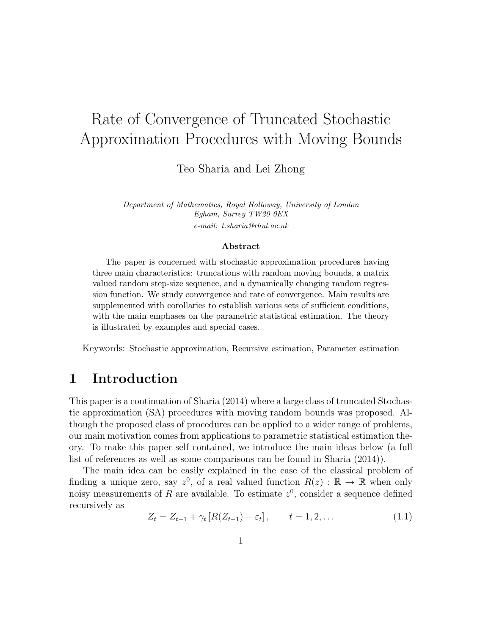# Rate of Convergence of Truncated Stochastic Approximation Procedures with Moving Bounds

Teo Sharia and Lei Zhong

Department of Mathematics, Royal Holloway, University of London Egham, Surrey TW20 0EX e-mail: t.sharia@rhul.ac.uk

#### Abstract

The paper is concerned with stochastic approximation procedures having three main characteristics: truncations with random moving bounds, a matrix valued random step-size sequence, and a dynamically changing random regression function. We study convergence and rate of convergence. Main results are supplemented with corollaries to establish various sets of sufficient conditions, with the main emphases on the parametric statistical estimation. The theory is illustrated by examples and special cases.

Keywords: Stochastic approximation, Recursive estimation, Parameter estimation

### 1 Introduction

This paper is a continuation of Sharia (2014) where a large class of truncated Stochastic approximation (SA) procedures with moving random bounds was proposed. Although the proposed class of procedures can be applied to a wider range of problems, our main motivation comes from applications to parametric statistical estimation theory. To make this paper self contained, we introduce the main ideas below (a full list of references as well as some comparisons can be found in Sharia (2014)).

The main idea can be easily explained in the case of the classical problem of finding a unique zero, say  $z^0$ , of a real valued function  $R(z) : \mathbb{R} \to \mathbb{R}$  when only noisy measurements of R are available. To estimate  $z^0$ , consider a sequence defined recursively as

$$
Z_t = Z_{t-1} + \gamma_t [R(Z_{t-1}) + \varepsilon_t], \qquad t = 1, 2, \dots
$$
\n(1.1)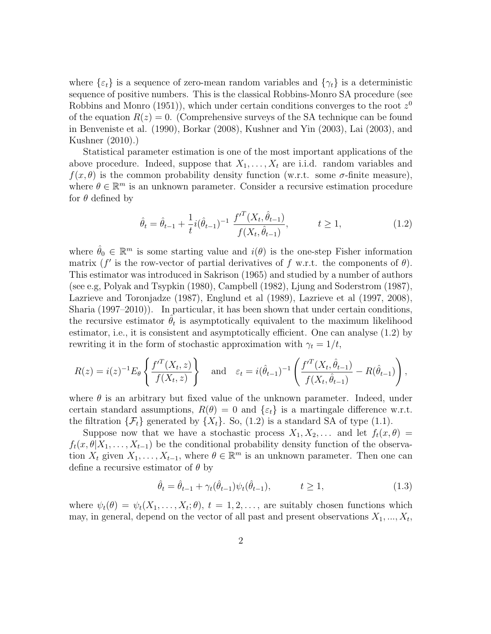where  $\{\varepsilon_t\}$  is a sequence of zero-mean random variables and  $\{\gamma_t\}$  is a deterministic sequence of positive numbers. This is the classical Robbins-Monro SA procedure (see Robbins and Monro (1951)), which under certain conditions converges to the root  $z^0$ of the equation  $R(z) = 0$ . (Comprehensive surveys of the SA technique can be found in Benveniste et al. (1990), Borkar (2008), Kushner and Yin (2003), Lai (2003), and Kushner (2010).)

Statistical parameter estimation is one of the most important applications of the above procedure. Indeed, suppose that  $X_1, \ldots, X_t$  are i.i.d. random variables and  $f(x, \theta)$  is the common probability density function (w.r.t. some  $\sigma$ -finite measure), where  $\theta \in \mathbb{R}^m$  is an unknown parameter. Consider a recursive estimation procedure for  $\theta$  defined by

$$
\hat{\theta}_t = \hat{\theta}_{t-1} + \frac{1}{t} i (\hat{\theta}_{t-1})^{-1} \frac{f'^T(X_t, \hat{\theta}_{t-1})}{f(X_t, \hat{\theta}_{t-1})}, \qquad t \ge 1,
$$
\n(1.2)

where  $\hat{\theta}_0 \in \mathbb{R}^m$  is some starting value and  $i(\theta)$  is the one-step Fisher information matrix (f' is the row-vector of partial derivatives of f w.r.t. the components of  $\theta$ ). This estimator was introduced in Sakrison (1965) and studied by a number of authors (see e.g, Polyak and Tsypkin (1980), Campbell (1982), Ljung and Soderstrom (1987), Lazrieve and Toronjadze (1987), Englund et al (1989), Lazrieve et al (1997, 2008), Sharia (1997–2010)). In particular, it has been shown that under certain conditions, the recursive estimator  $\hat{\theta}_t$  is asymptotically equivalent to the maximum likelihood estimator, i.e., it is consistent and asymptotically efficient. One can analyse (1.2) by rewriting it in the form of stochastic approximation with  $\gamma_t = 1/t$ ,

$$
R(z) = i(z)^{-1} E_{\theta} \left\{ \frac{f'^T(X_t, z)}{f(X_t, z)} \right\} \quad \text{and} \quad \varepsilon_t = i(\hat{\theta}_{t-1})^{-1} \left( \frac{f'^T(X_t, \hat{\theta}_{t-1})}{f(X_t, \hat{\theta}_{t-1})} - R(\hat{\theta}_{t-1}) \right),
$$

where  $\theta$  is an arbitrary but fixed value of the unknown parameter. Indeed, under certain standard assumptions,  $R(\theta) = 0$  and  $\{\varepsilon_t\}$  is a martingale difference w.r.t. the filtration  $\{\mathcal{F}_t\}$  generated by  $\{X_t\}$ . So, (1.2) is a standard SA of type (1.1).

Suppose now that we have a stochastic process  $X_1, X_2, \ldots$  and let  $f_t(x, \theta) =$  $f_t(x, \theta | X_1, \ldots, X_{t-1})$  be the conditional probability density function of the observation  $X_t$  given  $X_1, \ldots, X_{t-1}$ , where  $\theta \in \mathbb{R}^m$  is an unknown parameter. Then one can define a recursive estimator of  $\theta$  by

$$
\hat{\theta}_t = \hat{\theta}_{t-1} + \gamma_t(\hat{\theta}_{t-1})\psi_t(\hat{\theta}_{t-1}), \qquad t \ge 1,
$$
\n(1.3)

where  $\psi_t(\theta) = \psi_t(X_1, \ldots, X_t; \theta), t = 1, 2, \ldots$ , are suitably chosen functions which may, in general, depend on the vector of all past and present observations  $X_1, ..., X_t$ ,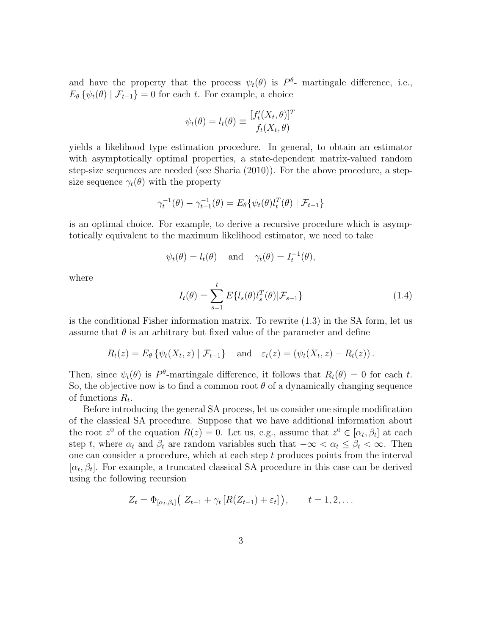and have the property that the process  $\psi_t(\theta)$  is  $P^{\theta}$ - martingale difference, i.e.,  $E_{\theta} \{\psi_t(\theta) | \mathcal{F}_{t-1}\} = 0$  for each t. For example, a choice

$$
\psi_t(\theta) = l_t(\theta) \equiv \frac{[f'_t(X_t, \theta)]^T}{f_t(X_t, \theta)}
$$

yields a likelihood type estimation procedure. In general, to obtain an estimator with asymptotically optimal properties, a state-dependent matrix-valued random step-size sequences are needed (see Sharia (2010)). For the above procedure, a stepsize sequence  $\gamma_t(\theta)$  with the property

$$
\gamma_t^{-1}(\theta) - \gamma_{t-1}^{-1}(\theta) = E_{\theta} \{ \psi_t(\theta) l_t^T(\theta) \mid \mathcal{F}_{t-1} \}
$$

is an optimal choice. For example, to derive a recursive procedure which is asymptotically equivalent to the maximum likelihood estimator, we need to take

$$
\psi_t(\theta) = l_t(\theta)
$$
 and  $\gamma_t(\theta) = I_t^{-1}(\theta)$ ,

where

$$
I_t(\theta) = \sum_{s=1}^t E\{l_s(\theta)l_s^T(\theta)|\mathcal{F}_{s-1}\}\tag{1.4}
$$

is the conditional Fisher information matrix. To rewrite (1.3) in the SA form, let us assume that  $\theta$  is an arbitrary but fixed value of the parameter and define

$$
R_t(z) = E_{\theta} \left\{ \psi_t(X_t, z) \mid \mathcal{F}_{t-1} \right\} \quad \text{and} \quad \varepsilon_t(z) = \left( \psi_t(X_t, z) - R_t(z) \right).
$$

Then, since  $\psi_t(\theta)$  is P<sup> $\theta$ </sup>-martingale difference, it follows that  $R_t(\theta) = 0$  for each t. So, the objective now is to find a common root  $\theta$  of a dynamically changing sequence of functions  $R_t$ .

Before introducing the general SA process, let us consider one simple modification of the classical SA procedure. Suppose that we have additional information about the root  $z^0$  of the equation  $R(z) = 0$ . Let us, e.g., assume that  $z^0 \in [\alpha_t, \beta_t]$  at each step t, where  $\alpha_t$  and  $\beta_t$  are random variables such that  $-\infty < \alpha_t \leq \beta_t < \infty$ . Then one can consider a procedure, which at each step  $t$  produces points from the interval  $[\alpha_t, \beta_t]$ . For example, a truncated classical SA procedure in this case can be derived using the following recursion

$$
Z_t = \Phi_{[\alpha_t, \beta_t]}(Z_{t-1} + \gamma_t [R(Z_{t-1}) + \varepsilon_t]), \qquad t = 1, 2, \dots
$$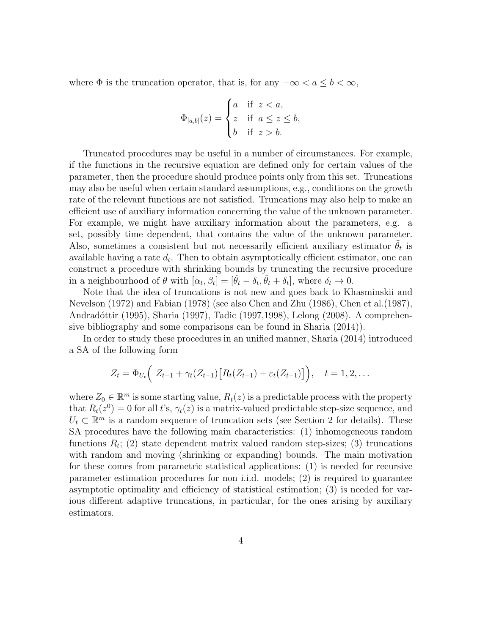where  $\Phi$  is the truncation operator, that is, for any  $-\infty < a \leq b < \infty$ ,

$$
\Phi_{[a,b]}(z) = \begin{cases} a & \text{if } z < a, \\ z & \text{if } a \le z \le b, \\ b & \text{if } z > b. \end{cases}
$$

Truncated procedures may be useful in a number of circumstances. For example, if the functions in the recursive equation are defined only for certain values of the parameter, then the procedure should produce points only from this set. Truncations may also be useful when certain standard assumptions, e.g., conditions on the growth rate of the relevant functions are not satisfied. Truncations may also help to make an efficient use of auxiliary information concerning the value of the unknown parameter. For example, we might have auxiliary information about the parameters, e.g. a set, possibly time dependent, that contains the value of the unknown parameter. Also, sometimes a consistent but not necessarily efficient auxiliary estimator  $\tilde{\theta}_t$  is available having a rate  $d_t$ . Then to obtain asymptotically efficient estimator, one can construct a procedure with shrinking bounds by truncating the recursive procedure in a neighbourhood of  $\theta$  with  $[\alpha_t, \beta_t] = [\tilde{\theta}_t - \delta_t, \tilde{\theta}_t + \delta_t]$ , where  $\delta_t \to 0$ .

Note that the idea of truncations is not new and goes back to Khasminskii and Nevelson (1972) and Fabian (1978) (see also Chen and Zhu (1986), Chen et al.(1987), Andradóttir (1995), Sharia (1997), Tadic (1997, 1998), Lelong (2008). A comprehensive bibliography and some comparisons can be found in Sharia (2014)).

In order to study these procedures in an unified manner, Sharia (2014) introduced a SA of the following form

$$
Z_t = \Phi_{U_t} \Big( Z_{t-1} + \gamma_t (Z_{t-1}) [R_t (Z_{t-1}) + \varepsilon_t (Z_{t-1})] \Big), \quad t = 1, 2, ...
$$

where  $Z_0 \in \mathbb{R}^m$  is some starting value,  $R_t(z)$  is a predictable process with the property that  $R_t(z^0) = 0$  for all t's,  $\gamma_t(z)$  is a matrix-valued predictable step-size sequence, and  $U_t \subset \mathbb{R}^m$  is a random sequence of truncation sets (see Section 2 for details). These SA procedures have the following main characteristics: (1) inhomogeneous random functions  $R_t$ ; (2) state dependent matrix valued random step-sizes; (3) truncations with random and moving (shrinking or expanding) bounds. The main motivation for these comes from parametric statistical applications: (1) is needed for recursive parameter estimation procedures for non i.i.d. models; (2) is required to guarantee asymptotic optimality and efficiency of statistical estimation; (3) is needed for various different adaptive truncations, in particular, for the ones arising by auxiliary estimators.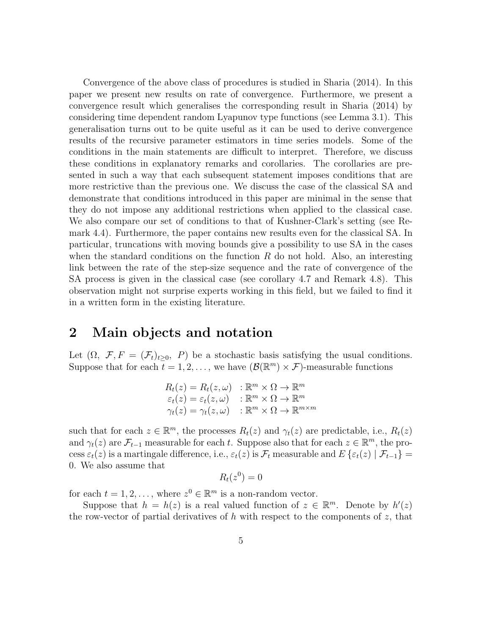Convergence of the above class of procedures is studied in Sharia (2014). In this paper we present new results on rate of convergence. Furthermore, we present a convergence result which generalises the corresponding result in Sharia (2014) by considering time dependent random Lyapunov type functions (see Lemma 3.1). This generalisation turns out to be quite useful as it can be used to derive convergence results of the recursive parameter estimators in time series models. Some of the conditions in the main statements are difficult to interpret. Therefore, we discuss these conditions in explanatory remarks and corollaries. The corollaries are presented in such a way that each subsequent statement imposes conditions that are more restrictive than the previous one. We discuss the case of the classical SA and demonstrate that conditions introduced in this paper are minimal in the sense that they do not impose any additional restrictions when applied to the classical case. We also compare our set of conditions to that of Kushner-Clark's setting (see Remark 4.4). Furthermore, the paper contains new results even for the classical SA. In particular, truncations with moving bounds give a possibility to use SA in the cases when the standard conditions on the function  $R$  do not hold. Also, an interesting link between the rate of the step-size sequence and the rate of convergence of the SA process is given in the classical case (see corollary 4.7 and Remark 4.8). This observation might not surprise experts working in this field, but we failed to find it in a written form in the existing literature.

## 2 Main objects and notation

Let  $(\Omega, \mathcal{F}, F = (\mathcal{F}_t)_{t>0}, P)$  be a stochastic basis satisfying the usual conditions. Suppose that for each  $t = 1, 2, \ldots$ , we have  $(\mathcal{B}(\mathbb{R}^m) \times \mathcal{F})$ -measurable functions

$$
R_t(z) = R_t(z, \omega) : \mathbb{R}^m \times \Omega \to \mathbb{R}^m
$$
  
\n
$$
\varepsilon_t(z) = \varepsilon_t(z, \omega) : \mathbb{R}^m \times \Omega \to \mathbb{R}^m
$$
  
\n
$$
\gamma_t(z) = \gamma_t(z, \omega) : \mathbb{R}^m \times \Omega \to \mathbb{R}^{m \times m}
$$

such that for each  $z \in \mathbb{R}^m$ , the processes  $R_t(z)$  and  $\gamma_t(z)$  are predictable, i.e.,  $R_t(z)$ and  $\gamma_t(z)$  are  $\mathcal{F}_{t-1}$  measurable for each t. Suppose also that for each  $z \in \mathbb{R}^m$ , the process  $\varepsilon_t(z)$  is a martingale difference, i.e.,  $\varepsilon_t(z)$  is  $\mathcal{F}_t$  measurable and  $E\{\varepsilon_t(z) | \mathcal{F}_{t-1}\}$ 0. We also assume that

$$
R_t(z^0)=0
$$

for each  $t = 1, 2, ...,$  where  $z^0 \in \mathbb{R}^m$  is a non-random vector.

Suppose that  $h = h(z)$  is a real valued function of  $z \in \mathbb{R}^m$ . Denote by  $h'(z)$ the row-vector of partial derivatives of h with respect to the components of  $z$ , that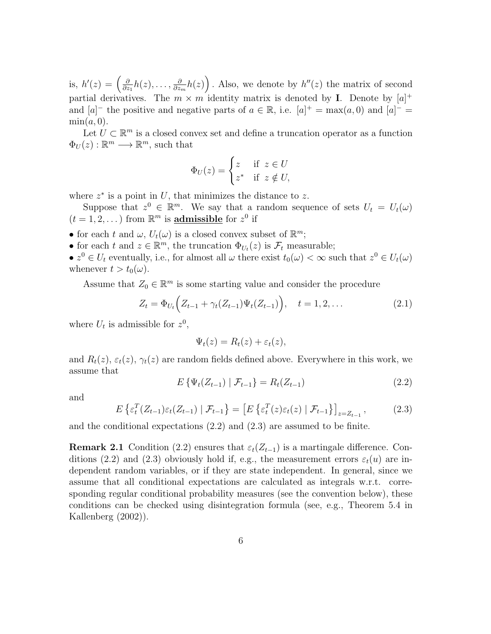is,  $h'(z) = \left(\frac{\partial}{\partial z}\right)$  $\frac{\partial}{\partial z_1} h(z), \ldots, \frac{\partial}{\partial z_i}$  $\frac{\partial}{\partial z_m}h(z)$ . Also, we denote by  $h''(z)$  the matrix of second partial derivatives. The  $m \times m$  identity matrix is denoted by **I**. Denote by  $[a]^+$ and  $[a]$ <sup>-</sup> the positive and negative parts of  $a \in \mathbb{R}$ , i.e.  $[a]$ <sup>+</sup> = max $(a, 0)$  and  $[a]$ <sup>-</sup> =  $\min(a, 0)$ .

Let  $\hat{U} \subset \mathbb{R}^m$  is a closed convex set and define a truncation operator as a function  $\Phi_U(z): \mathbb{R}^m \longrightarrow \mathbb{R}^m$ , such that

$$
\Phi_U(z) = \begin{cases} z & \text{if } z \in U \\ z^* & \text{if } z \notin U, \end{cases}
$$

where  $z^*$  is a point in U, that minimizes the distance to z.

Suppose that  $z^0 \in \mathbb{R}^m$ . We say that a random sequence of sets  $U_t = U_t(\omega)$  $(t = 1, 2, ...)$  from  $\mathbb{R}^m$  is **admissible** for  $z^0$  if

- for each t and  $\omega$ ,  $U_t(\omega)$  is a closed convex subset of  $\mathbb{R}^m$ ;
- for each t and  $z \in \mathbb{R}^m$ , the truncation  $\Phi_{U_t}(z)$  is  $\mathcal{F}_t$  measurable;
- $z^0 \in U_t$  eventually, i.e., for almost all  $\omega$  there exist  $t_0(\omega) < \infty$  such that  $z^0 \in U_t(\omega)$ whenever  $t > t_0(\omega)$ .

Assume that  $Z_0 \in \mathbb{R}^m$  is some starting value and consider the procedure

$$
Z_t = \Phi_{U_t} \Big( Z_{t-1} + \gamma_t (Z_{t-1}) \Psi_t (Z_{t-1}) \Big), \quad t = 1, 2, \dots \tag{2.1}
$$

where  $U_t$  is admissible for  $z^0$ ,

$$
\Psi_t(z) = R_t(z) + \varepsilon_t(z),
$$

and  $R_t(z)$ ,  $\varepsilon_t(z)$ ,  $\gamma_t(z)$  are random fields defined above. Everywhere in this work, we assume that

$$
E\{\Psi_t(Z_{t-1}) \mid \mathcal{F}_{t-1}\} = R_t(Z_{t-1})\tag{2.2}
$$

and

$$
E\left\{\varepsilon_t^T(Z_{t-1})\varepsilon_t(Z_{t-1}) \mid \mathcal{F}_{t-1}\right\} = \left[E\left\{\varepsilon_t^T(z)\varepsilon_t(z) \mid \mathcal{F}_{t-1}\right\}\right]_{z=Z_{t-1}},\tag{2.3}
$$

and the conditional expectations (2.2) and (2.3) are assumed to be finite.

**Remark 2.1** Condition (2.2) ensures that  $\varepsilon_t(Z_{t-1})$  is a martingale difference. Conditions (2.2) and (2.3) obviously hold if, e.g., the measurement errors  $\varepsilon_t(u)$  are independent random variables, or if they are state independent. In general, since we assume that all conditional expectations are calculated as integrals w.r.t. corresponding regular conditional probability measures (see the convention below), these conditions can be checked using disintegration formula (see, e.g., Theorem 5.4 in Kallenberg (2002)).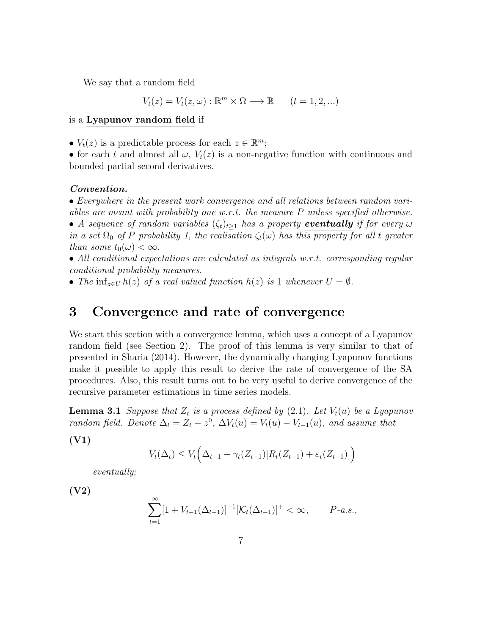We say that a random field

$$
V_t(z) = V_t(z, \omega) : \mathbb{R}^m \times \Omega \longrightarrow \mathbb{R} \qquad (t = 1, 2, \ldots)
$$

#### is a Lyapunov random field if

•  $V_t(z)$  is a predictable process for each  $z \in \mathbb{R}^m$ ;

• for each t and almost all  $\omega$ ,  $V_t(z)$  is a non-negative function with continuous and bounded partial second derivatives.

#### Convention.

• Everywhere in the present work convergence and all relations between random variables are meant with probability one w.r.t. the measure P unless specified otherwise. • A sequence of random variables  $(\zeta_t)_{t>1}$  has a property eventually if for every  $\omega$ in a set  $\Omega_0$  of P probability 1, the realisation  $\zeta_t(\omega)$  has this property for all t greater

than some  $t_0(\omega) < \infty$ .

• All conditional expectations are calculated as integrals w.r.t. corresponding regular conditional probability measures.

• The inf<sub>z∈U</sub>  $h(z)$  of a real valued function  $h(z)$  is 1 whenever  $U = \emptyset$ .

### 3 Convergence and rate of convergence

We start this section with a convergence lemma, which uses a concept of a Lyapunov random field (see Section 2). The proof of this lemma is very similar to that of presented in Sharia (2014). However, the dynamically changing Lyapunov functions make it possible to apply this result to derive the rate of convergence of the SA procedures. Also, this result turns out to be very useful to derive convergence of the recursive parameter estimations in time series models.

**Lemma 3.1** Suppose that  $Z_t$  is a process defined by (2.1). Let  $V_t(u)$  be a Lyapunov random field. Denote  $\Delta_t = Z_t - z^0$ ,  $\Delta V_t(u) = V_t(u) - V_{t-1}(u)$ , and assume that

(V1)

$$
V_t(\Delta_t) \le V_t \Big( \Delta_{t-1} + \gamma_t (Z_{t-1}) [R_t (Z_{t-1}) + \varepsilon_t (Z_{t-1})] \Big)
$$

eventually;

(V2)

$$
\sum_{t=1}^{\infty} [1 + V_{t-1}(\Delta_{t-1})]^{-1} [\mathcal{K}_t(\Delta_{t-1})]^+ < \infty, \qquad P\text{-}a.s.,
$$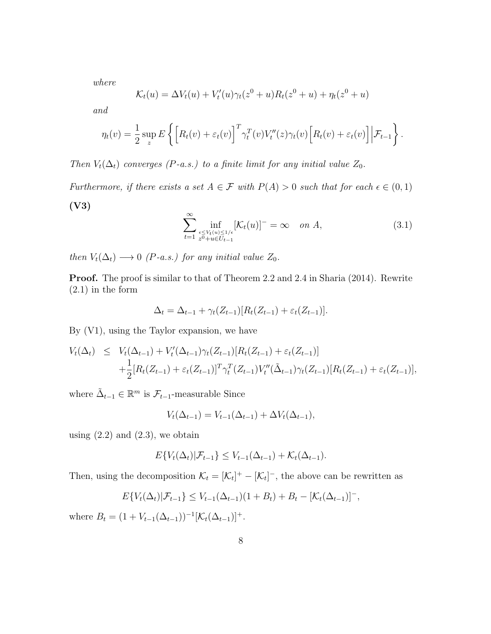where

$$
\mathcal{K}_t(u) = \Delta V_t(u) + V'_t(u)\gamma_t(z^0 + u)R_t(z^0 + u) + \eta_t(z^0 + u)
$$

and

$$
\eta_t(v) = \frac{1}{2} \sup_z E\left\{ \left[ R_t(v) + \varepsilon_t(v) \right]^T \gamma_t^T(v) V_t''(z) \gamma_t(v) \left[ R_t(v) + \varepsilon_t(v) \right] \Big| \mathcal{F}_{t-1} \right\}.
$$

Then  $V_t(\Delta_t)$  converges (P-a.s.) to a finite limit for any initial value  $Z_0$ .

Furthermore, if there exists a set  $A \in \mathcal{F}$  with  $P(A) > 0$  such that for each  $\epsilon \in (0,1)$ (V3)

$$
\sum_{t=1}^{\infty} \inf_{\substack{\epsilon \le V_t(u) \le 1/\epsilon \\ z^0 + u \in U_{t-1}}} [\mathcal{K}_t(u)]^- = \infty \quad on \ A,
$$
\n(3.1)

then  $V_t(\Delta_t) \longrightarrow 0$  (P-a.s.) for any initial value  $Z_0$ .

Proof. The proof is similar to that of Theorem 2.2 and 2.4 in Sharia (2014). Rewrite (2.1) in the form

$$
\Delta_t = \Delta_{t-1} + \gamma_t(Z_{t-1})[R_t(Z_{t-1}) + \varepsilon_t(Z_{t-1})].
$$

By (V1), using the Taylor expansion, we have

$$
V_t(\Delta_t) \leq V_t(\Delta_{t-1}) + V'_t(\Delta_{t-1})\gamma_t(Z_{t-1})[R_t(Z_{t-1}) + \varepsilon_t(Z_{t-1})]
$$
  
+ 
$$
\frac{1}{2}[R_t(Z_{t-1}) + \varepsilon_t(Z_{t-1})]^T \gamma_t^T(Z_{t-1}) V''_t(\tilde{\Delta}_{t-1}) \gamma_t(Z_{t-1})[R_t(Z_{t-1}) + \varepsilon_t(Z_{t-1})],
$$

where  $\tilde{\Delta}_{t-1} \in \mathbb{R}^m$  is  $\mathcal{F}_{t-1}$ -measurable Since

$$
V_t(\Delta_{t-1}) = V_{t-1}(\Delta_{t-1}) + \Delta V_t(\Delta_{t-1}),
$$

using  $(2.2)$  and  $(2.3)$ , we obtain

$$
E\{V_t(\Delta_t)|\mathcal{F}_{t-1}\}\leq V_{t-1}(\Delta_{t-1})+\mathcal{K}_t(\Delta_{t-1}).
$$

Then, using the decomposition  $\mathcal{K}_t = [\mathcal{K}_t]^+ - [\mathcal{K}_t]^-,$  the above can be rewritten as

$$
E\{V_t(\Delta_t)|\mathcal{F}_{t-1}\}\leq V_{t-1}(\Delta_{t-1})(1+B_t)+B_t-[K_t(\Delta_{t-1})]^{-},
$$

where  $B_t = (1 + V_{t-1}(\Delta_{t-1}))^{-1} [\mathcal{K}_t(\Delta_{t-1})]^+$ .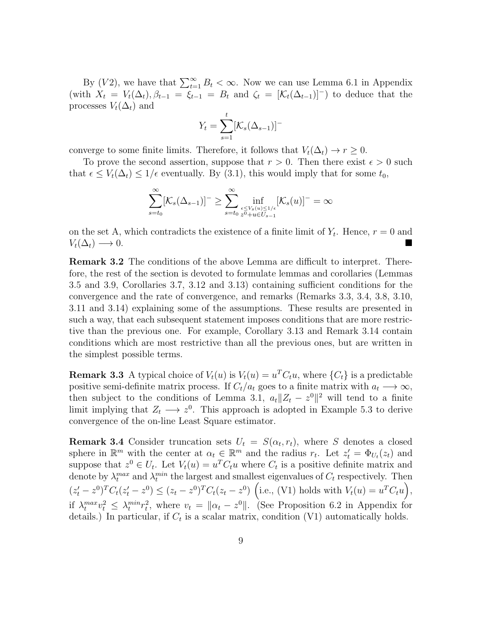By (V2), we have that  $\sum_{t=1}^{\infty} B_t < \infty$ . Now we can use Lemma 6.1 in Appendix (with  $X_t = V_t(\Delta_t), \beta_{t-1} = \xi_{t-1} = B_t$  and  $\zeta_t = [\mathcal{K}_t(\Delta_{t-1})]$  to deduce that the processes  $V_t(\Delta_t)$  and

$$
Y_t = \sum_{s=1}^t [\mathcal{K}_s(\Delta_{s-1})]^{-}
$$

converge to some finite limits. Therefore, it follows that  $V_t(\Delta_t) \to r \geq 0$ .

To prove the second assertion, suppose that  $r > 0$ . Then there exist  $\epsilon > 0$  such that  $\epsilon \leq V_t(\Delta_t) \leq 1/\epsilon$  eventually. By (3.1), this would imply that for some  $t_0$ ,

$$
\sum_{s=t_0}^{\infty} [\mathcal{K}_s(\Delta_{s-1})]^-\geq \sum_{s=t_0}^{\infty}\inf_{\substack{\epsilon\leq V_s(u)\leq 1/\epsilon\\ z^0+u\in U_{s-1}}} [\mathcal{K}_s(u)]^-=\infty
$$

on the set A, which contradicts the existence of a finite limit of  $Y_t$ . Hence,  $r = 0$  and  $V_t(\Delta_t) \longrightarrow 0.$ 

Remark 3.2 The conditions of the above Lemma are difficult to interpret. Therefore, the rest of the section is devoted to formulate lemmas and corollaries (Lemmas 3.5 and 3.9, Corollaries 3.7, 3.12 and 3.13) containing sufficient conditions for the convergence and the rate of convergence, and remarks (Remarks 3.3, 3.4, 3.8, 3.10, 3.11 and 3.14) explaining some of the assumptions. These results are presented in such a way, that each subsequent statement imposes conditions that are more restrictive than the previous one. For example, Corollary 3.13 and Remark 3.14 contain conditions which are most restrictive than all the previous ones, but are written in the simplest possible terms.

**Remark 3.3** A typical choice of  $V_t(u)$  is  $V_t(u) = u^T C_t u$ , where  $\{C_t\}$  is a predictable positive semi-definite matrix process. If  $C_t/a_t$  goes to a finite matrix with  $a_t \longrightarrow \infty$ , then subject to the conditions of Lemma 3.1,  $a_t ||Z_t - z^0||^2$  will tend to a finite limit implying that  $Z_t \longrightarrow z^0$ . This approach is adopted in Example 5.3 to derive convergence of the on-line Least Square estimator.

**Remark 3.4** Consider truncation sets  $U_t = S(\alpha_t, r_t)$ , where S denotes a closed sphere in  $\mathbb{R}^m$  with the center at  $\alpha_t \in \mathbb{R}^m$  and the radius  $r_t$ . Let  $z_t' = \Phi_{U_t}(z_t)$  and suppose that  $z^0 \in U_t$ . Let  $V_t(u) = u^T C_t u$  where  $C_t$  is a positive definite matrix and denote by  $\lambda_t^{max}$  and  $\lambda_t^{min}$  the largest and smallest eigenvalues of  $C_t$  respectively. Then  $(z'_t - z^0)^T C_t (z'_t - z^0) \leq (z_t - z^0)^T C_t (z_t - z^0)$  (i.e., (V1) holds with  $V_t(u) = u^T C_t u$ ), if  $\lambda_t^{max} v_t^2 \leq \lambda_t^{min} r_t^2$ , where  $v_t = ||\alpha_t - z^0||$ . (See Proposition 6.2 in Appendix for details.) In particular, if  $C_t$  is a scalar matrix, condition (V1) automatically holds.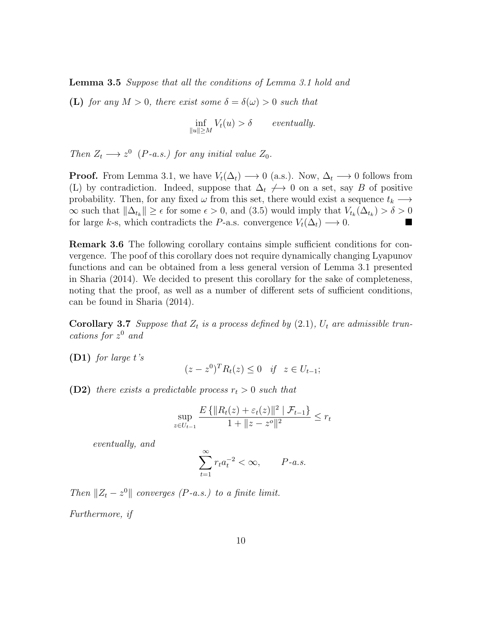Lemma 3.5 Suppose that all the conditions of Lemma 3.1 hold and

(L) for any  $M > 0$ , there exist some  $\delta = \delta(\omega) > 0$  such that

$$
\inf_{\|u\| \ge M} V_t(u) > \delta \qquad eventually.
$$

Then  $Z_t \longrightarrow z^0$  (P-a.s.) for any initial value  $Z_0$ .

**Proof.** From Lemma 3.1, we have  $V_t(\Delta_t) \longrightarrow 0$  (a.s.). Now,  $\Delta_t \longrightarrow 0$  follows from (L) by contradiction. Indeed, suppose that  $\Delta_t \neq 0$  on a set, say B of positive probability. Then, for any fixed  $\omega$  from this set, there would exist a sequence  $t_k \longrightarrow$  $\infty$  such that  $\|\Delta_{t_k}\| \geq \epsilon$  for some  $\epsilon > 0$ , and (3.5) would imply that  $V_{t_k}(\Delta_{t_k}) > \delta > 0$ for large k-s, which contradicts the P-a.s. convergence  $V_t(\Delta_t) \longrightarrow 0$ .

Remark 3.6 The following corollary contains simple sufficient conditions for convergence. The poof of this corollary does not require dynamically changing Lyapunov functions and can be obtained from a less general version of Lemma 3.1 presented in Sharia (2014). We decided to present this corollary for the sake of completeness, noting that the proof, as well as a number of different sets of sufficient conditions, can be found in Sharia (2014).

**Corollary 3.7** Suppose that  $Z_t$  is a process defined by (2.1),  $U_t$  are admissible truncations for z <sup>0</sup> and

 $(D1)$  for large t's

$$
(z - z0)T Rt(z) \le 0 \quad \text{if} \quad z \in U_{t-1};
$$

**(D2)** there exists a predictable process  $r_t > 0$  such that

$$
\sup_{z \in U_{t-1}} \frac{E\left\{ ||R_t(z) + \varepsilon_t(z)||^2 \mid \mathcal{F}_{t-1} \right\}}{1 + ||z - z^o||^2} \le r_t
$$

eventually, and

$$
\sum_{t=1}^{\infty} r_t a_t^{-2} < \infty, \qquad P-a.s.
$$

Then  $||Z_t - z^0||$  converges (P-a.s.) to a finite limit.

Furthermore, if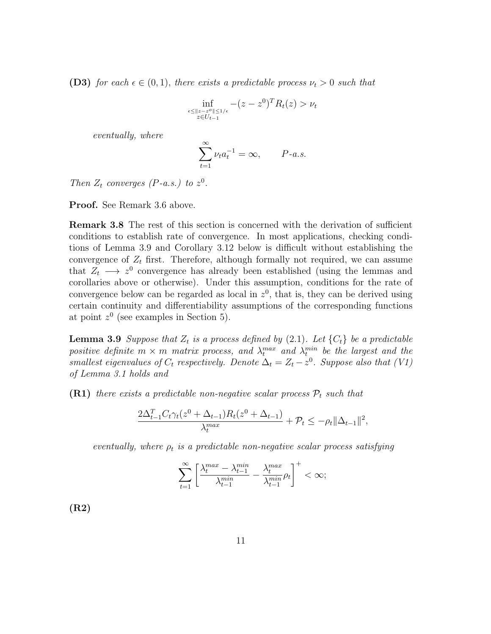**(D3)** for each  $\epsilon \in (0,1)$ , there exists a predictable process  $\nu_t > 0$  such that

$$
\inf_{\substack{\epsilon \leq \|z - z^o\| \leq 1/\epsilon \\ z \in U_{t-1}}} -(z - z^0)^T R_t(z) > \nu_t
$$

eventually, where

$$
\sum_{t=1}^{\infty} \nu_t a_t^{-1} = \infty, \qquad P-a.s.
$$

Then  $Z_t$  converges (P-a.s.) to  $z^0$ .

Proof. See Remark 3.6 above.

Remark 3.8 The rest of this section is concerned with the derivation of sufficient conditions to establish rate of convergence. In most applications, checking conditions of Lemma 3.9 and Corollary 3.12 below is difficult without establishing the convergence of  $Z_t$  first. Therefore, although formally not required, we can assume that  $Z_t \longrightarrow z^0$  convergence has already been established (using the lemmas and corollaries above or otherwise). Under this assumption, conditions for the rate of convergence below can be regarded as local in  $z<sup>0</sup>$ , that is, they can be derived using certain continuity and differentiability assumptions of the corresponding functions at point  $z^0$  (see examples in Section 5).

**Lemma 3.9** Suppose that  $Z_t$  is a process defined by (2.1). Let  $\{C_t\}$  be a predictable positive definite  $m \times m$  matrix process, and  $\lambda_t^{max}$  and  $\lambda_t^{min}$  be the largest and the smallest eigenvalues of  $C_t$  respectively. Denote  $\Delta_t = Z_t - z^0$ . Suppose also that (V1) of Lemma 3.1 holds and

(R1) there exists a predictable non-negative scalar process  $P_t$  such that

$$
\frac{2\Delta_{t-1}^T C_t \gamma_t(z^0 + \Delta_{t-1}) R_t(z^0 + \Delta_{t-1})}{\lambda_t^{max}} + \mathcal{P}_t \le -\rho_t \|\Delta_{t-1}\|^2,
$$

eventually, where  $\rho_t$  is a predictable non-negative scalar process satisfying

$$
\sum_{t=1}^{\infty}\left[\frac{\lambda^{max}_{t}-\lambda^{min}_{t-1}}{\lambda^{min}_{t-1}}-\frac{\lambda^{max}_{t}}{\lambda^{min}_{t-1}}\rho_{t}\right]^{+}<\infty;
$$

(R2)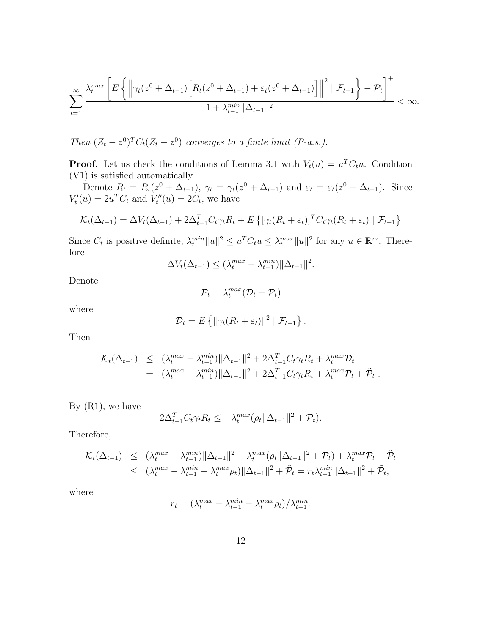$$
\sum_{t=1}^{\infty} \frac{\lambda_t^{max} \left[ E\left\{ \left\| \gamma_t(z^0 + \Delta_{t-1}) \left[ R_t(z^0 + \Delta_{t-1}) + \varepsilon_t(z^0 + \Delta_{t-1}) \right] \right\|^2 \mid \mathcal{F}_{t-1} \right\} - \mathcal{P}_t \right]^+}{1 + \lambda_{t-1}^{min} \|\Delta_{t-1}\|^2} < \infty.
$$

Then  $(Z_t - z^0)^T C_t (Z_t - z^0)$  converges to a finite limit (P-a.s.).

**Proof.** Let us check the conditions of Lemma 3.1 with  $V_t(u) = u^T C_t u$ . Condition (V1) is satisfied automatically.

Denote  $R_t = R_t(z^0 + \Delta_{t-1}), \gamma_t = \gamma_t(z^0 + \Delta_{t-1})$  and  $\varepsilon_t = \varepsilon_t(z^0 + \Delta_{t-1}).$  Since  $V_t'(u) = 2u^T C_t$  and  $V_t''(u) = 2C_t$ , we have

$$
\mathcal{K}_t(\Delta_{t-1}) = \Delta V_t(\Delta_{t-1}) + 2\Delta_{t-1}^T C_t \gamma_t R_t + E\left\{ \left[ \gamma_t (R_t + \varepsilon_t) \right]^T C_t \gamma_t (R_t + \varepsilon_t) \mid \mathcal{F}_{t-1} \right\}
$$

Since  $C_t$  is positive definite,  $\lambda_t^{min} \|u\|^2 \le u^T C_t u \le \lambda_t^{max} \|u\|^2$  for any  $u \in \mathbb{R}^m$ . Therefore

$$
\Delta V_t(\Delta_{t-1}) \leq (\lambda_t^{max} - \lambda_{t-1}^{min}) ||\Delta_{t-1}||^2.
$$

Denote

$$
\tilde{\mathcal{P}}_t = \lambda_t^{max}(\mathcal{D}_t - \mathcal{P}_t)
$$

where

$$
\mathcal{D}_t = E\left\{ \|\gamma_t(R_t + \varepsilon_t)\|^2 \mid \mathcal{F}_{t-1} \right\}.
$$

Then

$$
\mathcal{K}_t(\Delta_{t-1}) \leq (\lambda_t^{max} - \lambda_{t-1}^{min}) ||\Delta_{t-1}||^2 + 2\Delta_{t-1}^T C_t \gamma_t R_t + \lambda_t^{max} \mathcal{D}_t \n= (\lambda_t^{max} - \lambda_{t-1}^{min}) ||\Delta_{t-1}||^2 + 2\Delta_{t-1}^T C_t \gamma_t R_t + \lambda_t^{max} \mathcal{P}_t + \tilde{\mathcal{P}}_t.
$$

By  $(R1)$ , we have

$$
2\Delta_{t-1}^T C_t \gamma_t R_t \le -\lambda_t^{\max}(\rho_t \|\Delta_{t-1}\|^2 + \mathcal{P}_t).
$$

Therefore,

$$
\mathcal{K}_t(\Delta_{t-1}) \leq (\lambda_t^{max} - \lambda_{t-1}^{min}) ||\Delta_{t-1}||^2 - \lambda_t^{max}(\rho_t ||\Delta_{t-1}||^2 + \mathcal{P}_t) + \lambda_t^{max} \mathcal{P}_t + \tilde{\mathcal{P}}_t
$$
  

$$
\leq (\lambda_t^{max} - \lambda_{t-1}^{min} - \lambda_t^{max} \rho_t) ||\Delta_{t-1}||^2 + \tilde{\mathcal{P}}_t = r_t \lambda_{t-1}^{min} ||\Delta_{t-1}||^2 + \tilde{\mathcal{P}}_t,
$$

where

$$
r_t = \left(\lambda_t^{max} - \lambda_{t-1}^{min} - \lambda_t^{max} \rho_t\right) / \lambda_{t-1}^{min}.
$$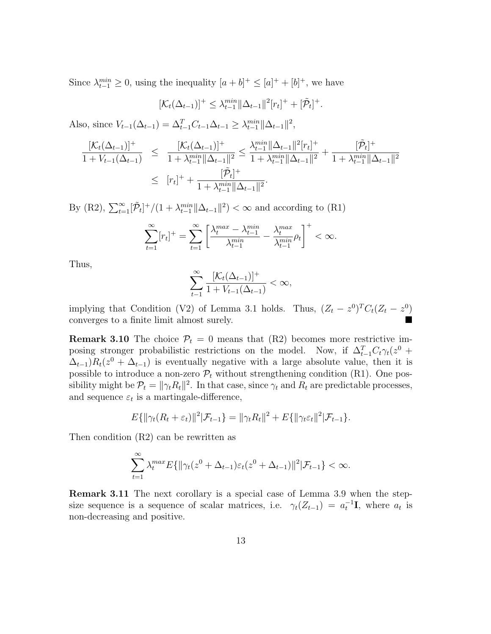Since  $\lambda_{t-1}^{min} \geq 0$ , using the inequality  $[a+b]^+ \leq [a]^+ + [b]^+$ , we have

$$
[\mathcal{K}_t(\Delta_{t-1})]^+ \leq \lambda_{t-1}^{\min} ||\Delta_{t-1}||^2 [r_t]^+ + [\tilde{\mathcal{P}}_t]^+.
$$

Also, since  $V_{t-1}(\Delta_{t-1}) = \Delta_{t-1}^T C_{t-1} \Delta_{t-1} \geq \lambda_{t-1}^{min} ||\Delta_{t-1}||^2$ ,

$$
\frac{[\mathcal{K}_t(\Delta_{t-1})]^+}{1 + V_{t-1}(\Delta_{t-1})} \leq \frac{[\mathcal{K}_t(\Delta_{t-1})]^+}{1 + \lambda_{t-1}^{min} ||\Delta_{t-1}||^2} \leq \frac{\lambda_{t-1}^{min} ||\Delta_{t-1}||^2 [r_t]^+}{1 + \lambda_{t-1}^{min} ||\Delta_{t-1}||^2} + \frac{[\tilde{\mathcal{P}}_t]^+}{1 + \lambda_{t-1}^{min} ||\Delta_{t-1}||^2}
$$

$$
\leq [r_t]^+ + \frac{[\tilde{\mathcal{P}}_t]^+}{1 + \lambda_{t-1}^{min} ||\Delta_{t-1}||^2}.
$$

By (R2),  $\sum_{t=1}^{\infty} [\tilde{\mathcal{P}}_t]^+/(1+\lambda_{t-1}^{min} ||\Delta_{t-1}||^2) < \infty$  and according to (R1)

$$
\sum_{t=1}^{\infty} [r_t]^{+} = \sum_{t=1}^{\infty} \left[ \frac{\lambda_t^{max} - \lambda_{t-1}^{min}}{\lambda_{t-1}^{min}} - \frac{\lambda_t^{max}}{\lambda_{t-1}^{min}} \rho_t \right]^{+} < \infty.
$$

Thus,

$$
\sum_{t-1}^{\infty}\frac{[\mathcal{K}_t(\Delta_{t-1})]^+}{1+V_{t-1}(\Delta_{t-1})}<\infty,
$$

implying that Condition (V2) of Lemma 3.1 holds. Thus,  $(Z_t - z^0)^T C_t (Z_t - z^0)$ converges to a finite limit almost surely.

**Remark 3.10** The choice  $P_t = 0$  means that (R2) becomes more restrictive imposing stronger probabilistic restrictions on the model. Now, if  $\Delta_{t-1}^T C_t \gamma_t(z^0 +$  $\Delta_{t-1}$ ) $R_t(z^0 + \Delta_{t-1})$  is eventually negative with a large absolute value, then it is possible to introduce a non-zero  $\mathcal{P}_t$  without strengthening condition (R1). One possibility might be  $\mathcal{P}_t = ||\gamma_t R_t||^2$ . In that case, since  $\gamma_t$  and  $R_t$  are predictable processes, and sequence  $\varepsilon_t$  is a martingale-difference,

$$
E\{\|\gamma_t(R_t+\varepsilon_t)\|^2|\mathcal{F}_{t-1}\} = \|\gamma_t R_t\|^2 + E\{\|\gamma_t \varepsilon_t\|^2|\mathcal{F}_{t-1}\}.
$$

Then condition (R2) can be rewritten as

$$
\sum_{t=1}^{\infty} \lambda_t^{max} E\{\|\gamma_t(z^0 + \Delta_{t-1})\varepsilon_t(z^0 + \Delta_{t-1})\|^2 | \mathcal{F}_{t-1}\} < \infty.
$$

Remark 3.11 The next corollary is a special case of Lemma 3.9 when the stepsize sequence is a sequence of scalar matrices, i.e.  $\gamma_t(Z_{t-1}) = a_t^{-1} \mathbf{I}$ , where  $a_t$  is non-decreasing and positive.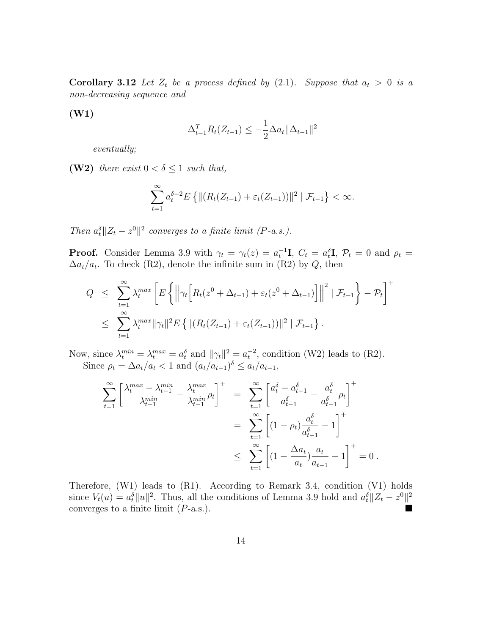**Corollary 3.12** Let  $Z_t$  be a process defined by (2.1). Suppose that  $a_t > 0$  is a non-decreasing sequence and

(W1)

$$
\Delta_{t-1}^T R_t(Z_{t-1}) \le -\frac{1}{2}\Delta a_t \|\Delta_{t-1}\|^2
$$

eventually;

(W2) there exist  $0 < \delta \leq 1$  such that,

$$
\sum_{t=1}^{\infty} a_t^{\delta-2} E\left\{ \|(R_t(Z_{t-1}) + \varepsilon_t(Z_{t-1}))\|^2 \mid \mathcal{F}_{t-1} \right\} < \infty.
$$

Then  $a_t^{\delta} || Z_t - z^0 ||^2$  converges to a finite limit (P-a.s.).

**Proof.** Consider Lemma 3.9 with  $\gamma_t = \gamma_t(z) = a_t^{-1} \mathbf{I}$ ,  $C_t = a_t^{\delta} \mathbf{I}$ ,  $\mathcal{P}_t = 0$  and  $\rho_t =$  $\Delta a_t/a_t$ . To check (R2), denote the infinite sum in (R2) by Q, then

$$
Q \leq \sum_{t=1}^{\infty} \lambda_t^{max} \left[ E \left\{ \left\| \gamma_t \left[ R_t(z^0 + \Delta_{t-1}) + \varepsilon_t (z^0 + \Delta_{t-1}) \right] \right\|^2 \mid \mathcal{F}_{t-1} \right\} - \mathcal{P}_t \right]^+
$$
  

$$
\leq \sum_{t=1}^{\infty} \lambda_t^{max} \|\gamma_t\|^2 E \left\{ \| (R_t(Z_{t-1}) + \varepsilon_t (Z_{t-1})) \|^2 \mid \mathcal{F}_{t-1} \right\}.
$$

Now, since  $\lambda_t^{min} = \lambda_t^{max} = a_t^{\delta}$  and  $||\gamma_t||^2 = a_t^{-2}$ , condition (W2) leads to (R2). Since  $\rho_t = \Delta a_t/a_t < 1$  and  $(a_t/a_{t-1})^{\delta} \le a_t/a_{t-1}$ ,

$$
\sum_{t=1}^{\infty} \left[ \frac{\lambda_t^{max} - \lambda_{t-1}^{min}}{\lambda_{t-1}^{min}} - \frac{\lambda_t^{max}}{\lambda_{t-1}^{min}} \rho_t \right]^+ = \sum_{t=1}^{\infty} \left[ \frac{a_t^{\delta} - a_{t-1}^{\delta}}{a_{t-1}^{\delta}} - \frac{a_t^{\delta}}{a_{t-1}^{\delta}} \rho_t \right]^+ \n= \sum_{t=1}^{\infty} \left[ (1 - \rho_t) \frac{a_t^{\delta}}{a_{t-1}^{\delta}} - 1 \right]^+ \n\le \sum_{t=1}^{\infty} \left[ (1 - \frac{\Delta a_t}{a_t}) \frac{a_t}{a_{t-1}} - 1 \right]^+ = 0.
$$

Therefore, (W1) leads to (R1). According to Remark 3.4, condition (V1) holds since  $V_t(u) = a_t^{\delta} ||u||^2$ . Thus, all the conditions of Lemma 3.9 hold and  $a_t^{\delta} ||Z_t - z^0||^2$ converges to a finite limit  $(P-a.s.)$ .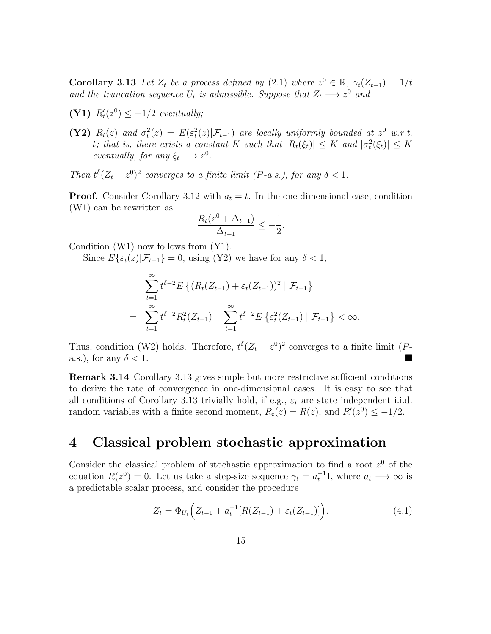**Corollary 3.13** Let  $Z_t$  be a process defined by (2.1) where  $z^0 \in \mathbb{R}$ ,  $\gamma_t(Z_{t-1}) = 1/t$ and the truncation sequence  $U_t$  is admissible. Suppose that  $Z_t \longrightarrow z^0$  and

(Y1)  $R'_t(z^0) \leq -1/2$  eventually;

(Y2)  $R_t(z)$  and  $\sigma_t^2(z) = E(\varepsilon_t^2(z)|\mathcal{F}_{t-1})$  are locally uniformly bounded at  $z^0$  w.r.t. t; that is, there exists a constant K such that  $|R_t(\xi_t)| \leq K$  and  $|\sigma_t^2(\xi_t)| \leq K$ eventually, for any  $\xi_t \longrightarrow z^0$ .

Then  $t^{\delta}(Z_t - z^0)^2$  converges to a finite limit (P-a.s.), for any  $\delta < 1$ .

**Proof.** Consider Corollary 3.12 with  $a_t = t$ . In the one-dimensional case, condition (W1) can be rewritten as

$$
\frac{R_t(z^0 + \Delta_{t-1})}{\Delta_{t-1}} \le -\frac{1}{2}.
$$

Condition (W1) now follows from (Y1).

Since  $E\{\varepsilon_t(z)|\mathcal{F}_{t-1}\}=0$ , using (Y2) we have for any  $\delta < 1$ ,

$$
\sum_{t=1}^{\infty} t^{\delta-2} E \left\{ (R_t(Z_{t-1}) + \varepsilon_t(Z_{t-1}))^2 \mid \mathcal{F}_{t-1} \right\}
$$
  
= 
$$
\sum_{t=1}^{\infty} t^{\delta-2} R_t^2(Z_{t-1}) + \sum_{t=1}^{\infty} t^{\delta-2} E \left\{ \varepsilon_t^2(Z_{t-1}) \mid \mathcal{F}_{t-1} \right\} < \infty.
$$

Thus, condition (W2) holds. Therefore,  $t^{\delta} (Z_t - z^0)^2$  converges to a finite limit (Pa.s.), for any  $\delta < 1$ .

Remark 3.14 Corollary 3.13 gives simple but more restrictive sufficient conditions to derive the rate of convergence in one-dimensional cases. It is easy to see that all conditions of Corollary 3.13 trivially hold, if e.g.,  $\varepsilon_t$  are state independent i.i.d. random variables with a finite second moment,  $R_t(z) = R(z)$ , and  $R'(z^0) \leq -1/2$ .

# 4 Classical problem stochastic approximation

Consider the classical problem of stochastic approximation to find a root  $z<sup>0</sup>$  of the equation  $R(z^0) = 0$ . Let us take a step-size sequence  $\gamma_t = a_t^{-1}$ **I**, where  $a_t \longrightarrow \infty$  is a predictable scalar process, and consider the procedure

$$
Z_t = \Phi_{U_t} \left( Z_{t-1} + a_t^{-1} [R(Z_{t-1}) + \varepsilon_t (Z_{t-1})] \right). \tag{4.1}
$$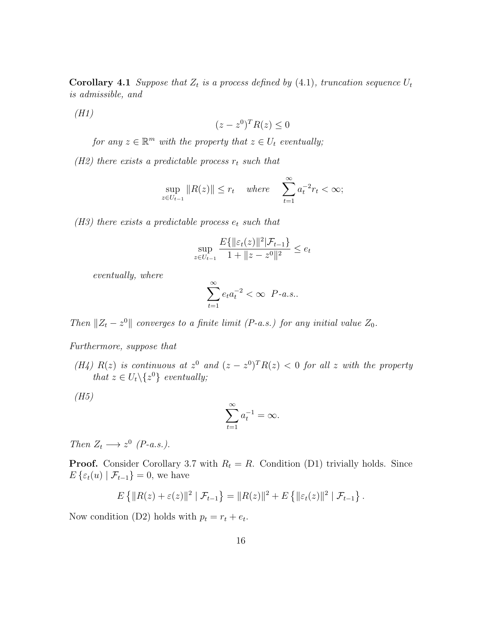**Corollary 4.1** Suppose that  $Z_t$  is a process defined by (4.1), truncation sequence  $U_t$ is admissible, and

(H1)

$$
(z - z^0)^T R(z) \le 0
$$

for any  $z \in \mathbb{R}^m$  with the property that  $z \in U_t$  eventually;

(H2) there exists a predictable process  $r_t$  such that

$$
\sup_{z \in U_{t-1}} \|R(z)\| \le r_t \quad \text{where} \quad \sum_{t=1}^{\infty} a_t^{-2} r_t < \infty;
$$

 $(H3)$  there exists a predictable process  $e_t$  such that

$$
\sup_{z \in U_{t-1}} \frac{E\{\|\varepsilon_t(z)\|^2 | \mathcal{F}_{t-1}\}}{1 + \|z - z^0\|^2} \le e_t
$$

eventually, where

$$
\sum_{t=1}^{\infty} e_t a_t^{-2} < \infty \quad P-a.s..
$$

Then  $||Z_t - z^0||$  converges to a finite limit (P-a.s.) for any initial value  $Z_0$ .

Furthermore, suppose that

(H4)  $R(z)$  is continuous at  $z<sup>0</sup>$  and  $(z - z<sup>0</sup>)<sup>T</sup> R(z) < 0$  for all z with the property that  $z \in U_t \backslash \{z^0\}$  eventually;

 $(H5)$ 

$$
\sum_{t=1}^{\infty} a_t^{-1} = \infty.
$$

Then  $Z_t \longrightarrow z^0$  (P-a.s.).

**Proof.** Consider Corollary 3.7 with  $R_t = R$ . Condition (D1) trivially holds. Since  $E\{\varepsilon_t(u) | \mathcal{F}_{t-1}\}=0$ , we have

$$
E\left\{\|R(z)+\varepsilon(z)\|^2 \mid \mathcal{F}_{t-1}\right\} = \|R(z)\|^2 + E\left\{\|\varepsilon_t(z)\|^2 \mid \mathcal{F}_{t-1}\right\}.
$$

Now condition (D2) holds with  $p_t = r_t + e_t$ .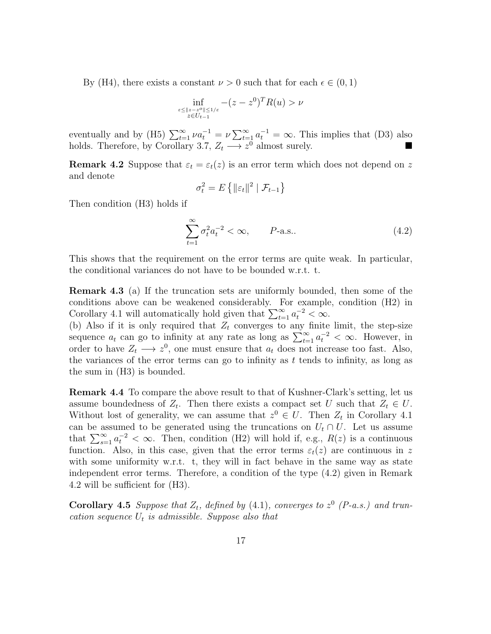By (H4), there exists a constant  $\nu > 0$  such that for each  $\epsilon \in (0, 1)$ 

$$
\inf_{\substack{\varepsilon \le \|z - z^o\| \le 1/\varepsilon\\ z \in U_{t-1}}} -(z - z^0)^T R(u) > \nu
$$

eventually and by (H5)  $\sum_{t=1}^{\infty} \nu a_t^{-1} = \nu \sum_{t=1}^{\infty} a_t^{-1} = \infty$ . This implies that (D3) also holds. Therefore, by Corollary 3.7,  $Z_t \longrightarrow z^0$  almost surely.

**Remark 4.2** Suppose that  $\varepsilon_t = \varepsilon_t(z)$  is an error term which does not depend on z and denote

$$
\sigma_t^2 = E\left\{ ||\varepsilon_t||^2 \mid \mathcal{F}_{t-1} \right\}
$$

Then condition (H3) holds if

$$
\sum_{t=1}^{\infty} \sigma_t^2 a_t^{-2} < \infty, \qquad P\text{-a.s..} \tag{4.2}
$$

This shows that the requirement on the error terms are quite weak. In particular, the conditional variances do not have to be bounded w.r.t. t.

Remark 4.3 (a) If the truncation sets are uniformly bounded, then some of the conditions above can be weakened considerably. For example, condition (H2) in Corollary 4.1 will automatically hold given that  $\sum_{t=1}^{\infty} a_t^{-2} < \infty$ .

(b) Also if it is only required that  $Z_t$  converges to any finite limit, the step-size sequence  $a_t$  can go to infinity at any rate as long as  $\sum_{t=1}^{\infty} a_t^{-2} < \infty$ . However, in order to have  $Z_t \longrightarrow z^0$ , one must ensure that  $a_t$  does not increase too fast. Also, the variances of the error terms can go to infinity as  $t$  tends to infinity, as long as the sum in (H3) is bounded.

Remark 4.4 To compare the above result to that of Kushner-Clark's setting, let us assume boundedness of  $Z_t$ . Then there exists a compact set U such that  $Z_t \in U$ . Without lost of generality, we can assume that  $z^0 \in U$ . Then  $Z_t$  in Corollary 4.1 can be assumed to be generated using the truncations on  $U_t \cap U$ . Let us assume that  $\sum_{s=1}^{\infty} a_t^{-2} < \infty$ . Then, condition (H2) will hold if, e.g.,  $R(z)$  is a continuous function. Also, in this case, given that the error terms  $\varepsilon_t(z)$  are continuous in z with some uniformity w.r.t. t, they will in fact behave in the same way as state independent error terms. Therefore, a condition of the type (4.2) given in Remark 4.2 will be sufficient for (H3).

Corollary 4.5 Suppose that  $Z_t$ , defined by (4.1), converges to  $z^0$  (P-a.s.) and truncation sequence  $U_t$  is admissible. Suppose also that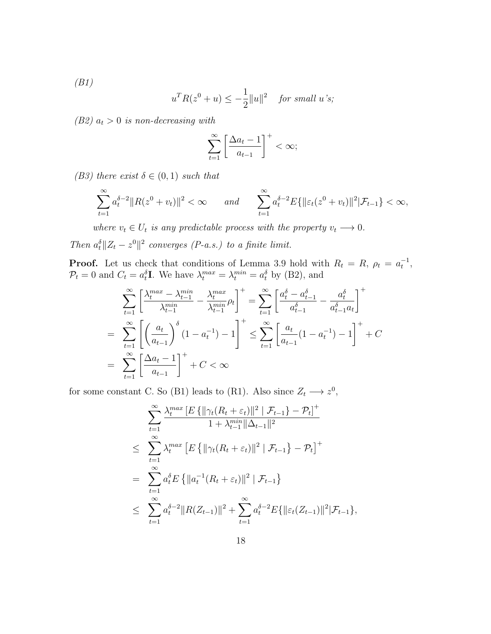(B1)

$$
u^T R(z^0 + u) \le -\frac{1}{2} ||u||^2 \quad \text{for small } u \text{'s};
$$

(B2)  $a_t > 0$  is non-decreasing with

$$
\sum_{t=1}^{\infty} \left[ \frac{\Delta a_t - 1}{a_{t-1}} \right]^+ < \infty;
$$

(B3) there exist  $\delta \in (0,1)$  such that

$$
\sum_{t=1}^{\infty} a_t^{\delta-2} \|R(z^0 + v_t)\|^2 < \infty \quad \text{and} \quad \sum_{t=1}^{\infty} a_t^{\delta-2} E\{\|\varepsilon_t(z^0 + v_t)\|^2 | \mathcal{F}_{t-1}\} < \infty,
$$

where  $v_t \in U_t$  is any predictable process with the property  $v_t \longrightarrow 0$ .

Then  $a_t^{\delta} || Z_t - z^0 ||^2$  converges (P-a.s.) to a finite limit.

**Proof.** Let us check that conditions of Lemma 3.9 hold with  $R_t = R$ ,  $\rho_t = a_t^{-1}$ ,  $\mathcal{P}_t = 0$  and  $C_t = a_t^{\delta}$ **I**. We have  $\lambda_t^{max} = \lambda_t^{min} = a_t^{\delta}$  by (B2), and

$$
\sum_{t=1}^{\infty} \left[ \frac{\lambda_t^{max} - \lambda_{t-1}^{min}}{\lambda_{t-1}^{min}} - \frac{\lambda_t^{max}}{\lambda_{t-1}^{min}} \rho_t \right]^{+} = \sum_{t=1}^{\infty} \left[ \frac{a_t^{\delta} - a_{t-1}^{\delta}}{a_{t-1}^{\delta}} - \frac{a_t^{\delta}}{a_{t-1}^{\delta} a_t} \right]^{+}
$$
  
= 
$$
\sum_{t=1}^{\infty} \left[ \left( \frac{a_t}{a_{t-1}} \right)^{\delta} (1 - a_t^{-1}) - 1 \right]^{+} \le \sum_{t=1}^{\infty} \left[ \frac{a_t}{a_{t-1}} (1 - a_t^{-1}) - 1 \right]^{+} + C
$$
  
= 
$$
\sum_{t=1}^{\infty} \left[ \frac{\Delta a_t - 1}{a_{t-1}} \right]^{+} + C < \infty
$$

for some constant C. So (B1) leads to (R1). Also since  $Z_t \longrightarrow z^0$ ,

$$
\sum_{t=1}^{\infty} \frac{\lambda_t^{max} [E\{\|\gamma_t(R_t + \varepsilon_t)\|^2 | \mathcal{F}_{t-1}\} - \mathcal{P}_t]^+}{1 + \lambda_{t-1}^{min} \|\Delta_{t-1}\|^2}
$$
\n
$$
\leq \sum_{t=1}^{\infty} \lambda_t^{max} [E\{\|\gamma_t(R_t + \varepsilon_t)\|^2 | \mathcal{F}_{t-1}\} - \mathcal{P}_t]^+
$$
\n
$$
= \sum_{t=1}^{\infty} a_t^{\delta} E\{\|a_t^{-1}(R_t + \varepsilon_t)\|^2 | \mathcal{F}_{t-1}\}
$$
\n
$$
\leq \sum_{t=1}^{\infty} a_t^{\delta-2} \|R(Z_{t-1})\|^2 + \sum_{t=1}^{\infty} a_t^{\delta-2} E\{\|\varepsilon_t(Z_{t-1})\|^2 | \mathcal{F}_{t-1}\},
$$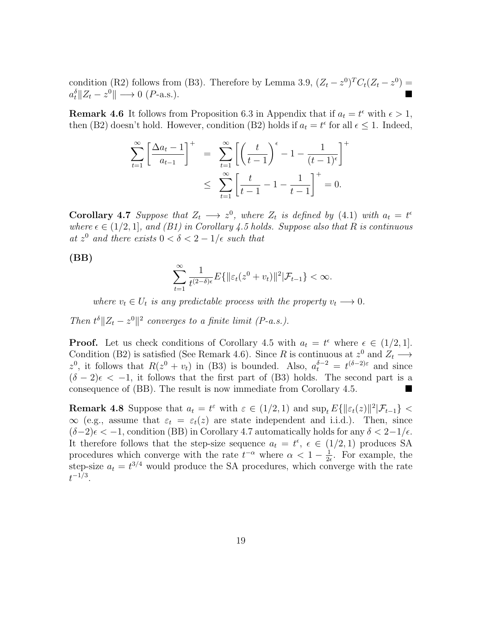condition (R2) follows from (B3). Therefore by Lemma 3.9,  $(Z_t - z^0)^T C_t (Z_t - z^0) =$  $a_t^{\delta}$ || $Z_t - z^0$ ||  $\longrightarrow 0$  (*P*-a.s.).

**Remark 4.6** It follows from Proposition 6.3 in Appendix that if  $a_t = t^{\epsilon}$  with  $\epsilon > 1$ , then (B2) doesn't hold. However, condition (B2) holds if  $a_t = t^{\epsilon}$  for all  $\epsilon \leq 1$ . Indeed,

$$
\sum_{t=1}^{\infty} \left[ \frac{\Delta a_t - 1}{a_{t-1}} \right]^+ = \sum_{t=1}^{\infty} \left[ \left( \frac{t}{t-1} \right)^{\epsilon} - 1 - \frac{1}{(t-1)^{\epsilon}} \right]^+
$$
  

$$
\leq \sum_{t=1}^{\infty} \left[ \frac{t}{t-1} - 1 - \frac{1}{t-1} \right]^+ = 0.
$$

**Corollary 4.7** Suppose that  $Z_t \longrightarrow z^0$ , where  $Z_t$  is defined by (4.1) with  $a_t = t^{\epsilon}$ where  $\epsilon \in (1/2, 1]$ , and (B1) in Corollary 4.5 holds. Suppose also that R is continuous at  $z^0$  and there exists  $0 < \delta < 2 - 1/\epsilon$  such that

(BB)

$$
\sum_{t=1}^{\infty} \frac{1}{t^{(2-\delta)\epsilon}} E\{\|\varepsilon_t(z^0 + v_t)\|^2 | \mathcal{F}_{t-1}\} < \infty.
$$

where  $v_t \in U_t$  is any predictable process with the property  $v_t \longrightarrow 0$ .

Then  $t^{\delta} \| Z_t - z^0 \|^2$  converges to a finite limit (P-a.s.).

**Proof.** Let us check conditions of Corollary 4.5 with  $a_t = t^{\epsilon}$  where  $\epsilon \in (1/2, 1]$ . Condition (B2) is satisfied (See Remark 4.6). Since R is continuous at  $z^0$  and  $Z_t \longrightarrow$ z<sup>0</sup>, it follows that  $R(z^0 + v_t)$  in (B3) is bounded. Also,  $a_t^{\delta - 2} = t^{(\delta - 2)\epsilon}$  and since  $(\delta - 2)\epsilon < -1$ , it follows that the first part of (B3) holds. The second part is a consequence of (BB). The result is now immediate from Corollary 4.5.

**Remark 4.8** Suppose that  $a_t = t^{\varepsilon}$  with  $\varepsilon \in (1/2, 1)$  and  $\sup_t E\{\|\varepsilon_t(z)\|^2 | \mathcal{F}_{t-1}\}$  <  $\infty$  (e.g., assume that  $\varepsilon_t = \varepsilon_t(z)$  are state independent and i.i.d.). Then, since  $(\delta-2)\epsilon < -1$ , condition (BB) in Corollary 4.7 automatically holds for any  $\delta < 2-1/\epsilon$ . It therefore follows that the step-size sequence  $a_t = t^{\epsilon}$ ,  $\epsilon \in (1/2, 1)$  produces SA procedures which converge with the rate  $t^{-\alpha}$  where  $\alpha < 1 - \frac{1}{2}$  $\frac{1}{2\epsilon}$ . For example, the step-size  $a_t = t^{3/4}$  would produce the SA procedures, which converge with the rate  $t^{-1/3}.$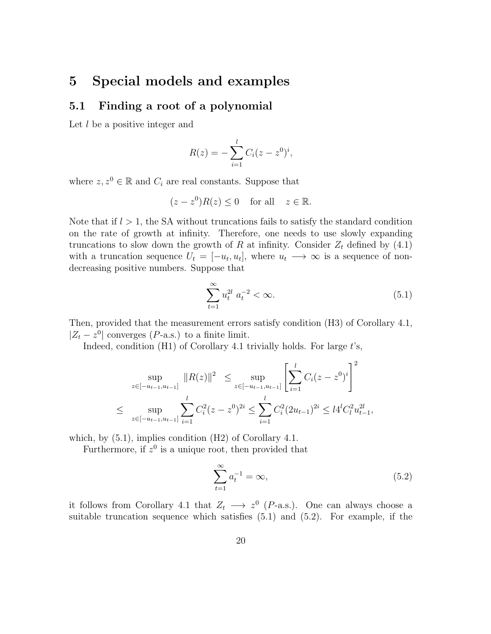#### 5 Special models and examples

#### 5.1 Finding a root of a polynomial

Let l be a positive integer and

$$
R(z) = -\sum_{i=1}^{l} C_i (z - z^0)^i,
$$

where  $z, z^0 \in \mathbb{R}$  and  $C_i$  are real constants. Suppose that

$$
(z - z0)R(z) \le 0 \quad \text{for all} \quad z \in \mathbb{R}.
$$

Note that if  $l > 1$ , the SA without truncations fails to satisfy the standard condition on the rate of growth at infinity. Therefore, one needs to use slowly expanding truncations to slow down the growth of R at infinity. Consider  $Z_t$  defined by (4.1) with a truncation sequence  $U_t = [-u_t, u_t]$ , where  $u_t \longrightarrow \infty$  is a sequence of nondecreasing positive numbers. Suppose that

$$
\sum_{t=1}^{\infty} u_t^{2l} \ a_t^{-2} < \infty. \tag{5.1}
$$

Then, provided that the measurement errors satisfy condition (H3) of Corollary 4.1,  $|Z_t - z^0|$  converges (P-a.s.) to a finite limit.

Indeed, condition  $(H1)$  of Corollary 4.1 trivially holds. For large t's,

$$
\sup_{z \in [-u_{t-1}, u_{t-1}]} \|R(z)\|^2 \leq \sup_{z \in [-u_{t-1}, u_{t-1}]} \left[ \sum_{i=1}^l C_i (z - z^0)^i \right]^2
$$
  

$$
\leq \sup_{z \in [-u_{t-1}, u_{t-1}]} \sum_{i=1}^l C_i^2 (z - z^0)^{2i} \leq \sum_{i=1}^l C_i^2 (2u_{t-1})^{2i} \leq l4^l C_l^2 u_{t-1}^{2l},
$$

which, by (5.1), implies condition (H2) of Corollary 4.1.

Furthermore, if  $z^0$  is a unique root, then provided that

$$
\sum_{t=1}^{\infty} a_t^{-1} = \infty,
$$
\n(5.2)

it follows from Corollary 4.1 that  $Z_t \longrightarrow z^0$  (P-a.s.). One can always choose a suitable truncation sequence which satisfies (5.1) and (5.2). For example, if the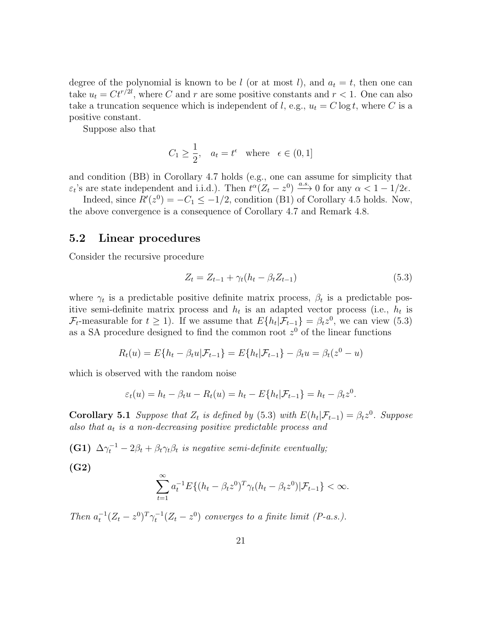degree of the polynomial is known to be l (or at most l), and  $a_t = t$ , then one can take  $u_t = Ct^{r/2l}$ , where C and r are some positive constants and  $r < 1$ . One can also take a truncation sequence which is independent of l, e.g.,  $u_t = C \log t$ , where C is a positive constant.

Suppose also that

$$
C_1 \ge \frac{1}{2}, \quad a_t = t^{\epsilon} \quad \text{where} \quad \epsilon \in (0, 1]
$$

and condition (BB) in Corollary 4.7 holds (e.g., one can assume for simplicity that  $\varepsilon_t$ 's are state independent and i.i.d.). Then  $t^{\alpha}(Z_t - z^0) \xrightarrow{a.s.} 0$  for any  $\alpha < 1 - 1/2\epsilon$ .

Indeed, since  $R'(z^0) = -C_1 \le -1/2$ , condition (B1) of Corollary 4.5 holds. Now, the above convergence is a consequence of Corollary 4.7 and Remark 4.8.

#### 5.2 Linear procedures

Consider the recursive procedure

$$
Z_t = Z_{t-1} + \gamma_t (h_t - \beta_t Z_{t-1})
$$
\n(5.3)

where  $\gamma_t$  is a predictable positive definite matrix process,  $\beta_t$  is a predictable positive semi-definite matrix process and  $h_t$  is an adapted vector process (i.e.,  $h_t$  is  $\mathcal{F}_t$ -measurable for  $t \geq 1$ ). If we assume that  $E\{h_t|\mathcal{F}_{t-1}\} = \beta_t z^0$ , we can view (5.3) as a SA procedure designed to find the common root  $z<sup>0</sup>$  of the linear functions

$$
R_t(u) = E\{h_t - \beta_t u | \mathcal{F}_{t-1}\} = E\{h_t | \mathcal{F}_{t-1}\} - \beta_t u = \beta_t (z^0 - u)
$$

which is observed with the random noise

$$
\varepsilon_t(u) = h_t - \beta_t u - R_t(u) = h_t - E\{h_t | \mathcal{F}_{t-1}\} = h_t - \beta_t z^0.
$$

**Corollary 5.1** Suppose that  $Z_t$  is defined by (5.3) with  $E(h_t|\mathcal{F}_{t-1}) = \beta_t z^0$ . Suppose also that  $a_t$  is a non-decreasing positive predictable process and

(G1)  $\Delta \gamma_t^{-1} - 2\beta_t + \beta_t \gamma_t \beta_t$  is negative semi-definite eventually;

$$
(\mathrm{G2})
$$

$$
\sum_{t=1}^{\infty} a_t^{-1} E\{(h_t - \beta_t z^0)^T \gamma_t (h_t - \beta_t z^0) | \mathcal{F}_{t-1}\} < \infty.
$$

Then  $a_t^{-1}(Z_t - z^0)^T \gamma_t^{-1}(Z_t - z^0)$  converges to a finite limit (P-a.s.).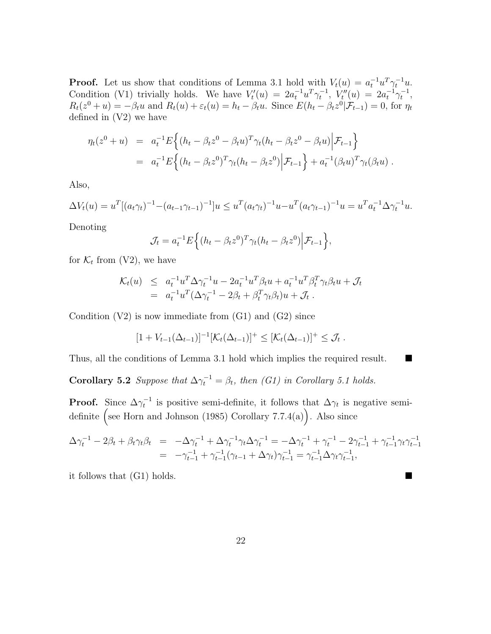**Proof.** Let us show that conditions of Lemma 3.1 hold with  $V_t(u) = a_t^{-1} u^T \gamma_t^{-1} u$ . Condition (V1) trivially holds. We have  $V'_t(u) = 2a_t^{-1}u^T\gamma_t^{-1}$ ,  $V''_t(u) = 2a_t^{-1}\gamma_t^{-1}$ ,  $R_t(z^0 + u) = -\beta_t u$  and  $R_t(u) + \varepsilon_t(u) = h_t - \beta_t u$ . Since  $E(h_t - \beta_t z^0 | \mathcal{F}_{t-1}) = 0$ , for  $\eta_t$ defined in (V2) we have

$$
\eta_t(z^0 + u) = a_t^{-1} E \Big\{ (h_t - \beta_t z^0 - \beta_t u)^T \gamma_t (h_t - \beta_t z^0 - \beta_t u) \Big| \mathcal{F}_{t-1} \Big\}
$$
  
=  $a_t^{-1} E \Big\{ (h_t - \beta_t z^0)^T \gamma_t (h_t - \beta_t z^0) \Big| \mathcal{F}_{t-1} \Big\} + a_t^{-1} (\beta_t u)^T \gamma_t (\beta_t u) .$ 

Also,

$$
\Delta V_t(u) = u^T [(a_t \gamma_t)^{-1} - (a_{t-1} \gamma_{t-1})^{-1}] u \leq u^T (a_t \gamma_t)^{-1} u - u^T (a_t \gamma_{t-1})^{-1} u = u^T a_t^{-1} \Delta \gamma_t^{-1} u.
$$

Denoting

$$
\mathcal{J}_t = a_t^{-1} E\Big\{ (h_t - \beta_t z^0)^T \gamma_t (h_t - \beta_t z^0) \Big| \mathcal{F}_{t-1} \Big\},\
$$

for  $\mathcal{K}_t$  from (V2), we have

$$
\mathcal{K}_t(u) \leq a_t^{-1} u^T \Delta \gamma_t^{-1} u - 2a_t^{-1} u^T \beta_t u + a_t^{-1} u^T \beta_t^T \gamma_t \beta_t u + \mathcal{J}_t
$$
  
= 
$$
a_t^{-1} u^T (\Delta \gamma_t^{-1} - 2\beta_t + \beta_t^T \gamma_t \beta_t) u + \mathcal{J}_t.
$$

Condition  $(V2)$  is now immediate from  $(G1)$  and  $(G2)$  since

$$
[1 + V_{t-1}(\Delta_{t-1})]^{-1} [\mathcal{K}_t(\Delta_{t-1})]^+ \leq [\mathcal{K}_t(\Delta_{t-1})]^+ \leq \mathcal{J}_t.
$$

Thus, all the conditions of Lemma 3.1 hold which implies the required result.

**Corollary 5.2** Suppose that  $\Delta \gamma_t^{-1} = \beta_t$ , then (G1) in Corollary 5.1 holds.

**Proof.** Since  $\Delta \gamma_t^{-1}$  is positive semi-definite, it follows that  $\Delta \gamma_t$  is negative semidefinite (see Horn and Johnson (1985) Corollary 7.7.4(a)). Also since

$$
\Delta \gamma_t^{-1} - 2\beta_t + \beta_t \gamma_t \beta_t = -\Delta \gamma_t^{-1} + \Delta \gamma_t^{-1} \gamma_t \Delta \gamma_t^{-1} = -\Delta \gamma_t^{-1} + \gamma_t^{-1} - 2\gamma_{t-1}^{-1} + \gamma_{t-1}^{-1} \gamma_t \gamma_{t-1}^{-1}
$$
  
= 
$$
-\gamma_{t-1}^{-1} + \gamma_{t-1}^{-1} (\gamma_{t-1} + \Delta \gamma_t) \gamma_{t-1}^{-1} = \gamma_{t-1}^{-1} \Delta \gamma_t \gamma_{t-1}^{-1},
$$

it follows that (G1) holds.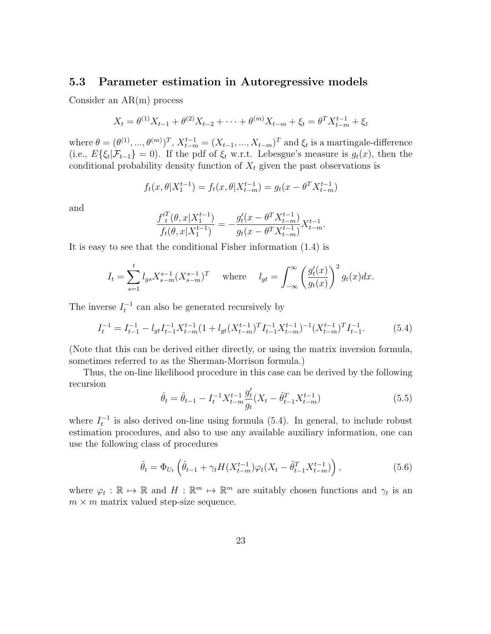#### 5.3 Parameter estimation in Autoregressive models

Consider an AR(m) process

$$
X_t = \theta^{(1)} X_{t-1} + \theta^{(2)} X_{t-2} + \dots + \theta^{(m)} X_{t-m} + \xi_t = \theta^T X_{t-m}^{t-1} + \xi_t
$$

where  $\theta = (\theta^{(1)}, ..., \theta^{(m)})^T$ ,  $X_{t-m}^{t-1} = (X_{t-1}, ..., X_{t-m})^T$  and  $\xi_t$  is a martingale-difference (i.e.,  $E\{\xi_t|\mathcal{F}_{t-1}\}=0$ ). If the pdf of  $\xi_t$  w.r.t. Lebesgue's measure is  $g_t(x)$ , then the conditional probability density function of  $X_t$  given the past observations is

$$
f_t(x, \theta | X_1^{t-1}) = f_t(x, \theta | X_{t-m}^{t-1}) = g_t(x - \theta^T X_{t-m}^{t-1})
$$

and

$$
\frac{f'_t^T(\theta, x|X_1^{t-1})}{f_t(\theta, x|X_1^{t-1})} = -\frac{g'_t(x - \theta^T X_{t-m}^{t-1})}{g_t(x - \theta^T X_{t-m}^{t-1})} X_{t-m}^{t-1}.
$$

It is easy to see that the conditional Fisher information (1.4) is

$$
I_t = \sum_{s=1}^t l_{gs} X_{s-m}^{s-1} (X_{s-m}^{s-1})^T \quad \text{where} \quad l_{gt} = \int_{-\infty}^{\infty} \left(\frac{g_t'(x)}{g_t(x)}\right)^2 g_t(x) dx.
$$

The inverse  $I_t^{-1}$  can also be generated recursively by

$$
I_t^{-1} = I_{t-1}^{-1} - l_{gt} I_{t-1}^{-1} X_{t-m}^{t-1} (1 + l_{gt} (X_{t-m}^{t-1})^T I_{t-1}^{-1} X_{t-m}^{t-1})^{-1} (X_{t-m}^{t-1})^T I_{t-1}^{-1}.
$$
 (5.4)

(Note that this can be derived either directly, or using the matrix inversion formula, sometimes referred to as the Sherman-Morrison formula.)

Thus, the on-line likelihood procedure in this case can be derived by the following recursion

$$
\hat{\theta}_t = \hat{\theta}_{t-1} - I_t^{-1} X_{t-m}^{t-1} \frac{g_t'}{g_t} (X_t - \hat{\theta}_{t-1}^T X_{t-m}^{t-1})
$$
\n(5.5)

where  $I_t^{-1}$  is also derived on-line using formula (5.4). In general, to include robust estimation procedures, and also to use any available auxiliary information, one can use the following class of procedures

$$
\hat{\theta}_t = \Phi_{U_t} \left( \hat{\theta}_{t-1} + \gamma_t H(X_{t-m}^{t-1}) \varphi_t(X_t - \hat{\theta}_{t-1}^T X_{t-m}^{t-1}) \right), \tag{5.6}
$$

where  $\varphi_t : \mathbb{R} \to \mathbb{R}$  and  $H : \mathbb{R}^m \to \mathbb{R}^m$  are suitably chosen functions and  $\gamma_t$  is an  $m \times m$  matrix valued step-size sequence.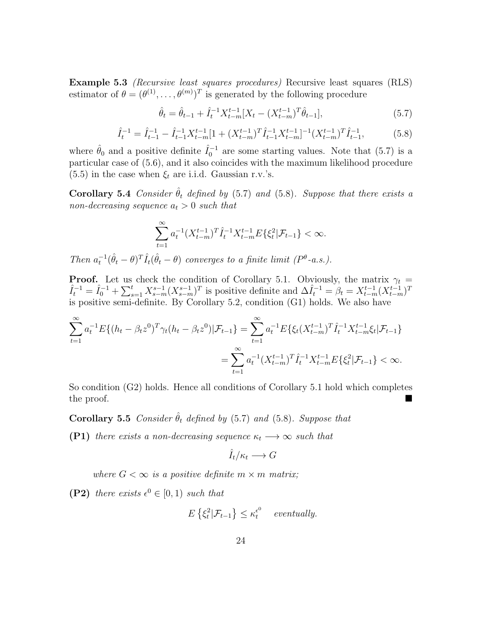Example 5.3 (Recursive least squares procedures) Recursive least squares (RLS) estimator of  $\theta = (\theta^{(1)}, \ldots, \theta^{(m)})^T$  is generated by the following procedure

$$
\hat{\theta}_t = \hat{\theta}_{t-1} + \hat{I}_t^{-1} X_{t-m}^{t-1} [X_t - (X_{t-m}^{t-1})^T \hat{\theta}_{t-1}],
$$
\n(5.7)

$$
\hat{I}_t^{-1} = \hat{I}_{t-1}^{-1} - \hat{I}_{t-1}^{-1} X_{t-m}^{t-1} [1 + (X_{t-m}^{t-1})^T \hat{I}_{t-1}^{-1} X_{t-m}^{t-1}]^{-1} (X_{t-m}^{t-1})^T \hat{I}_{t-1}^{-1},
$$
(5.8)

where  $\hat{\theta}_0$  and a positive definite  $\hat{I}_0^{-1}$  are some starting values. Note that (5.7) is a particular case of (5.6), and it also coincides with the maximum likelihood procedure (5.5) in the case when  $\xi_t$  are i.i.d. Gaussian r.v.'s.

**Corollary 5.4** Consider  $\hat{\theta}_t$  defined by (5.7) and (5.8). Suppose that there exists a non-decreasing sequence  $a_t > 0$  such that

$$
\sum_{t=1}^{\infty} a_t^{-1} (X_{t-m}^{t-1})^T \hat{I}_t^{-1} X_{t-m}^{t-1} E\{\xi_t^2 | \mathcal{F}_{t-1}\} < \infty.
$$

Then  $a_t^{-1}(\hat{\theta}_t - \theta)^T \hat{I}_t(\hat{\theta}_t - \theta)$  converges to a finite limit ( $P^{\theta}$ -a.s.).

**Proof.** Let us check the condition of Corollary 5.1. Obviously, the matrix  $\gamma_t$  =  $\hat{I}_t^{-1} = \hat{I}_0^{-1} + \sum_{s=1}^t X_{s-m}^{s-1} (X_{s-m}^{s-1})^T$  is positive definite and  $\Delta \hat{I}_t^{-1} = \beta_t = X_{t-m}^{t-1} (X_{t-m}^{t-1})^T$ is positive semi-definite. By Corollary 5.2, condition (G1) holds. We also have

$$
\sum_{t=1}^{\infty} a_t^{-1} E\{(h_t - \beta_t z^0)^T \gamma_t (h_t - \beta_t z^0) | \mathcal{F}_{t-1}\} = \sum_{t=1}^{\infty} a_t^{-1} E\{\xi_t (X_{t-m}^{t-1})^T \hat{I}_t^{-1} X_{t-m}^{t-1} \xi_t | \mathcal{F}_{t-1}\}
$$

$$
= \sum_{t=1}^{\infty} a_t^{-1} (X_{t-m}^{t-1})^T \hat{I}_t^{-1} X_{t-m}^{t-1} E\{\xi_t^2 | \mathcal{F}_{t-1}\} < \infty.
$$

So condition (G2) holds. Hence all conditions of Corollary 5.1 hold which completes the proof.

**Corollary 5.5** Consider  $\hat{\theta}_t$  defined by (5.7) and (5.8). Suppose that

**(P1)** there exists a non-decreasing sequence  $\kappa_t \rightarrow \infty$  such that

$$
\hat{I}_t/\kappa_t \longrightarrow G
$$

where  $G < \infty$  is a positive definite  $m \times m$  matrix;

(P2) there exists  $\epsilon^0 \in [0,1)$  such that

$$
E\left\{\xi_t^2|\mathcal{F}_{t-1}\right\} \le \kappa_t^{\epsilon^0} \quad \text{ eventually.}
$$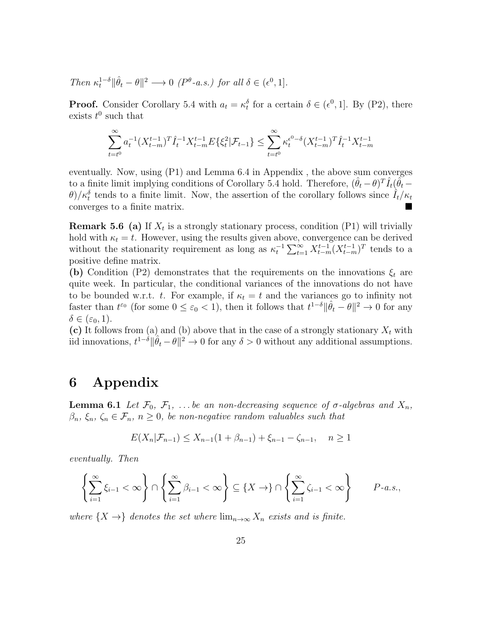Then 
$$
\kappa_t^{1-\delta} || \hat{\theta}_t - \theta ||^2 \longrightarrow 0
$$
 ( $P^{\theta} - a.s.$ ) for all  $\delta \in (\epsilon^0, 1].$ 

**Proof.** Consider Corollary 5.4 with  $a_t = \kappa_t^{\delta}$  for a certain  $\delta \in (\epsilon^0, 1]$ . By (P2), there exists  $t^0$  such that

$$
\sum_{t=t^0}^{\infty} a_t^{-1} (X_{t-m}^{t-1})^T \hat{I}_t^{-1} X_{t-m}^{t-1} E\{\xi_t^2 | \mathcal{F}_{t-1}\} \le \sum_{t=t^0}^{\infty} \kappa_t^{\epsilon^0 - \delta} (X_{t-m}^{t-1})^T \hat{I}_t^{-1} X_{t-m}^{t-1}
$$

eventually. Now, using (P1) and Lemma 6.4 in Appendix , the above sum converges to a finite limit implying conditions of Corollary 5.4 hold. Therefore,  $(\hat{\theta}_t - \theta)^T \hat{I}_t(\tilde{\theta}_t \theta$ / $\kappa_t^{\delta}$  tends to a finite limit. Now, the assertion of the corollary follows since  $\hat{I}_t/\kappa_t$ converges to a finite matrix.

**Remark 5.6 (a)** If  $X_t$  is a strongly stationary process, condition (P1) will trivially hold with  $\kappa_t = t$ . However, using the results given above, convergence can be derived without the stationarity requirement as long as  $\kappa_t^{-1} \sum_{t=1}^{\infty} X_{t-m}^{t-1} (X_{t-m}^{t-1})^T$  tends to a positive define matrix.

(b) Condition (P2) demonstrates that the requirements on the innovations  $\xi_t$  are quite week. In particular, the conditional variances of the innovations do not have to be bounded w.r.t. t. For example, if  $\kappa_t = t$  and the variances go to infinity not faster than  $t^{\varepsilon_0}$  (for some  $0 \leq \varepsilon_0 < 1$ ), then it follows that  $t^{1-\delta} \|\hat{\theta}_t - \theta\|^2 \to 0$  for any  $\delta \in (\varepsilon_0, 1).$ 

(c) It follows from (a) and (b) above that in the case of a strongly stationary  $X_t$  with iid innovations,  $t^{1-\delta} \|\hat{\theta}_t - \theta\|^2 \to 0$  for any  $\delta > 0$  without any additional assumptions.

### 6 Appendix

**Lemma 6.1** Let  $\mathcal{F}_0$ ,  $\mathcal{F}_1$ , ... be an non-decreasing sequence of  $\sigma$ -algebras and  $X_n$ ,  $\beta_n, \xi_n, \zeta_n \in \mathcal{F}_n, n \geq 0$ , be non-negative random valuables such that

$$
E(X_n|\mathcal{F}_{n-1}) \le X_{n-1}(1+\beta_{n-1}) + \xi_{n-1} - \zeta_{n-1}, \quad n \ge 1
$$

eventually. Then

$$
\left\{\sum_{i=1}^{\infty}\xi_{i-1}<\infty\right\}\cap\left\{\sum_{i=1}^{\infty}\beta_{i-1}<\infty\right\}\subseteq\left\{X\to\right\}\cap\left\{\sum_{i=1}^{\infty}\zeta_{i-1}<\infty\right\}\qquad P\text{-}a.s.,
$$

where  $\{X \to \}$  denotes the set where  $\lim_{n \to \infty} X_n$  exists and is finite.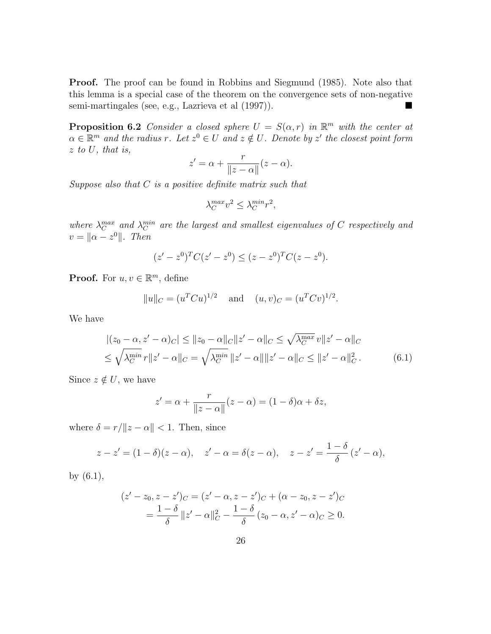**Proof.** The proof can be found in Robbins and Siegmund  $(1985)$ . Note also that this lemma is a special case of the theorem on the convergence sets of non-negative semi-martingales (see, e.g., Lazrieva et al (1997)).

**Proposition 6.2** Consider a closed sphere  $U = S(\alpha, r)$  in  $\mathbb{R}^m$  with the center at  $\alpha \in \mathbb{R}^m$  and the radius r. Let  $z^0 \in U$  and  $z \notin U$ . Denote by  $z'$  the closest point form z to U, that is,

$$
z' = \alpha + \frac{r}{\|z - \alpha\|} (z - \alpha).
$$

Suppose also that  $C$  is a positive definite matrix such that

$$
\lambda_C^{max} v^2 \le \lambda_C^{min} r^2,
$$

where  $\lambda_C^{max}$  and  $\lambda_C^{min}$  are the largest and smallest eigenvalues of C respectively and  $v = \|\alpha - z^0\|$ . Then

$$
(z'-z^0)^T C (z'-z^0) \leq (z-z^0)^T C (z-z^0).
$$

**Proof.** For  $u, v \in \mathbb{R}^m$ , define

$$
||u||_C = (u^T C u)^{1/2}
$$
 and  $(u, v)_C = (u^T C v)^{1/2}$ .

We have

$$
|(z_0 - \alpha, z' - \alpha)_C| \le ||z_0 - \alpha||_C ||z' - \alpha||_C \le \sqrt{\lambda_C^{\max}} v ||z' - \alpha||_C
$$
  

$$
\le \sqrt{\lambda_C^{\min}} r ||z' - \alpha||_C = \sqrt{\lambda_C^{\min}} ||z' - \alpha|| ||z' - \alpha||_C \le ||z' - \alpha||_C^2.
$$
 (6.1)

Since  $z \notin U$ , we have

$$
z' = \alpha + \frac{r}{\|z - \alpha\|}(z - \alpha) = (1 - \delta)\alpha + \delta z,
$$

where  $\delta = r/||z - \alpha|| < 1$ . Then, since

$$
z - z' = (1 - \delta)(z - \alpha), \quad z' - \alpha = \delta(z - \alpha), \quad z - z' = \frac{1 - \delta}{\delta}(z' - \alpha),
$$

by (6.1),

$$
(z'-z_0, z-z')_C = (z'-\alpha, z-z')_C + (\alpha - z_0, z-z')_C
$$
  
=  $\frac{1-\delta}{\delta} ||z'-\alpha||_C^2 - \frac{1-\delta}{\delta} (z_0 - \alpha, z' - \alpha)_C \ge 0.$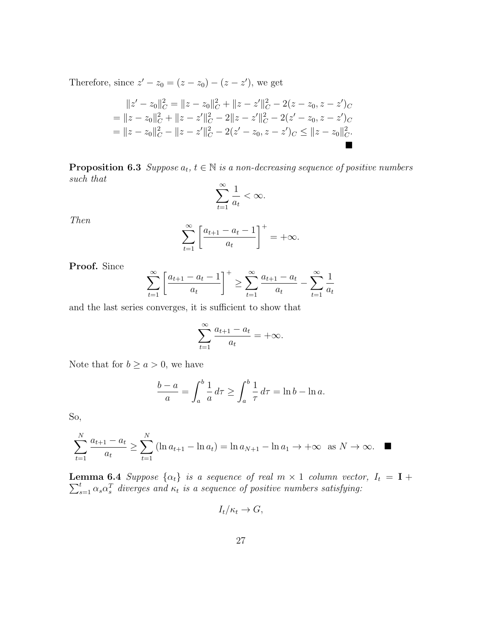Therefore, since  $z'-z_0=(z-z_0)-(z-z')$ , we get

$$
||z' - z_0||_C^2 = ||z - z_0||_C^2 + ||z - z'||_C^2 - 2(z - z_0, z - z')_C
$$
  
= 
$$
||z - z_0||_C^2 + ||z - z'||_C^2 - 2||z - z'||_C^2 - 2(z' - z_0, z - z')_C
$$
  
= 
$$
||z - z_0||_C^2 - ||z - z'||_C^2 - 2(z' - z_0, z - z')_C \le ||z - z_0||_C^2.
$$

**Proposition 6.3** Suppose  $a_t$ ,  $t \in \mathbb{N}$  is a non-decreasing sequence of positive numbers such that

$$
\sum_{t=1}^{\infty} \frac{1}{a_t} < \infty.
$$

Then

$$
\sum_{t=1}^{\infty} \left[ \frac{a_{t+1} - a_t - 1}{a_t} \right]^+ = +\infty.
$$

Proof. Since

$$
\sum_{t=1}^{\infty} \left[ \frac{a_{t+1} - a_t - 1}{a_t} \right]^+ \ge \sum_{t=1}^{\infty} \frac{a_{t+1} - a_t}{a_t} - \sum_{t=1}^{\infty} \frac{1}{a_t}
$$

and the last series converges, it is sufficient to show that

$$
\sum_{t=1}^{\infty} \frac{a_{t+1} - a_t}{a_t} = +\infty.
$$

Note that for  $b \ge a > 0$ , we have

$$
\frac{b-a}{a} = \int_{a}^{b} \frac{1}{a} d\tau \ge \int_{a}^{b} \frac{1}{\tau} d\tau = \ln b - \ln a.
$$

So,

$$
\sum_{t=1}^{N} \frac{a_{t+1} - a_t}{a_t} \ge \sum_{t=1}^{N} (\ln a_{t+1} - \ln a_t) = \ln a_{N+1} - \ln a_1 \to +\infty \text{ as } N \to \infty.
$$

Lemma 6.4  $\sum$ **EXECUTE: Suppose**  $\{\alpha_t\}$  is a sequence of real  $m \times 1$  column vector,  $I_t = \mathbf{I} + \sum_{s=1}^t \alpha_s \alpha_s^T$  diverges and  $\kappa_t$  is a sequence of positive numbers satisfying:

$$
I_t/\kappa_t \to G,
$$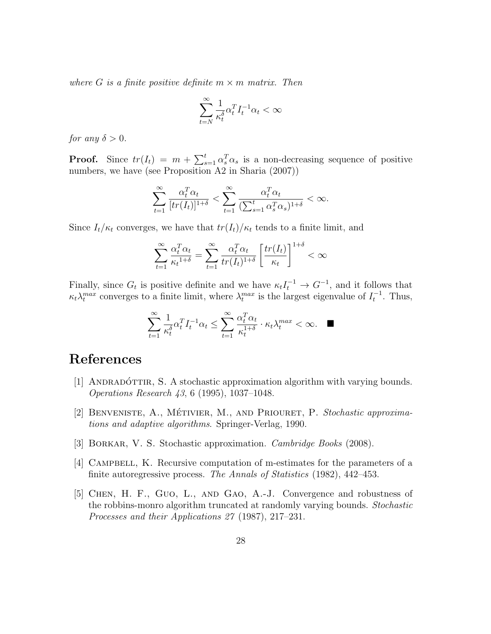where G is a finite positive definite  $m \times m$  matrix. Then

$$
\sum_{t=N}^{\infty}\frac{1}{\kappa_t^{\delta}}\alpha_t^TI_t^{-1}\alpha_t<\infty
$$

for any  $\delta > 0$ .

**Proof.** Since  $tr(I_t) = m + \sum_{s=1}^t \alpha_s^T \alpha_s$  is a non-decreasing sequence of positive numbers, we have (see Proposition A2 in Sharia (2007))

$$
\sum_{t=1}^{\infty} \frac{\alpha_t^T \alpha_t}{[tr(I_t)]^{1+\delta}} < \sum_{t=1}^{\infty} \frac{\alpha_t^T \alpha_t}{(\sum_{s=1}^t \alpha_s^T \alpha_s)^{1+\delta}} < \infty.
$$

Since  $I_t/\kappa_t$  converges, we have that  $tr(I_t)/\kappa_t$  tends to a finite limit, and

$$
\sum_{t=1}^{\infty} \frac{\alpha_t^T \alpha_t}{\kappa_t^{1+\delta}} = \sum_{t=1}^{\infty} \frac{\alpha_t^T \alpha_t}{tr(I_t)^{1+\delta}} \left[ \frac{tr(I_t)}{\kappa_t} \right]^{1+\delta} < \infty
$$

Finally, since  $G_t$  is positive definite and we have  $\kappa_t I_t^{-1} \to G^{-1}$ , and it follows that  $\kappa_t \lambda_t^{max}$  converges to a finite limit, where  $\lambda_t^{max}$  is the largest eigenvalue of  $I_t^{-1}$ . Thus,

$$
\sum_{t=1}^{\infty} \frac{1}{\kappa_t^{\delta}} \alpha_t^T I_t^{-1} \alpha_t \le \sum_{t=1}^{\infty} \frac{\alpha_t^T \alpha_t}{\kappa_t^{1+\delta}} \cdot \kappa_t \lambda_t^{max} < \infty. \quad \blacksquare
$$

# References

- [1] ANDRADÓTTIR, S. A stochastic approximation algorithm with varying bounds. Operations Research 43, 6 (1995), 1037–1048.
- [2] BENVENISTE, A., MÉTIVIER, M., AND PRIOURET, P. Stochastic approximations and adaptive algorithms. Springer-Verlag, 1990.
- [3] BORKAR, V. S. Stochastic approximation. *Cambridge Books* (2008).
- [4] Campbell, K. Recursive computation of m-estimates for the parameters of a finite autoregressive process. The Annals of Statistics (1982), 442–453.
- [5] Chen, H. F., Guo, L., and Gao, A.-J. Convergence and robustness of the robbins-monro algorithm truncated at randomly varying bounds. Stochastic Processes and their Applications 27 (1987), 217–231.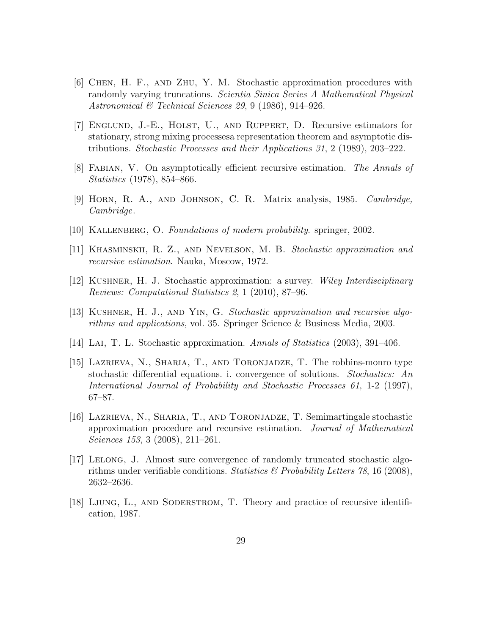- [6] Chen, H. F., and Zhu, Y. M. Stochastic approximation procedures with randomly varying truncations. Scientia Sinica Series A Mathematical Physical Astronomical & Technical Sciences 29, 9 (1986), 914–926.
- [7] Englund, J.-E., Holst, U., and Ruppert, D. Recursive estimators for stationary, strong mixing processesa representation theorem and asymptotic distributions. Stochastic Processes and their Applications 31, 2 (1989), 203–222.
- [8] Fabian, V. On asymptotically efficient recursive estimation. The Annals of Statistics (1978), 854–866.
- [9] Horn, R. A., and Johnson, C. R. Matrix analysis, 1985. Cambridge, Cambridge.
- [10] Kallenberg, O. Foundations of modern probability. springer, 2002.
- [11] Khasminskii, R. Z., and Nevelson, M. B. Stochastic approximation and recursive estimation. Nauka, Moscow, 1972.
- [12] Kushner, H. J. Stochastic approximation: a survey. Wiley Interdisciplinary Reviews: Computational Statistics 2, 1 (2010), 87–96.
- [13] Kushner, H. J., and Yin, G. Stochastic approximation and recursive algorithms and applications, vol. 35. Springer Science & Business Media, 2003.
- [14] Lai, T. L. Stochastic approximation. Annals of Statistics (2003), 391–406.
- [15] Lazrieva, N., Sharia, T., and Toronjadze, T. The robbins-monro type stochastic differential equations. i. convergence of solutions. Stochastics: An International Journal of Probability and Stochastic Processes 61, 1-2 (1997), 67–87.
- [16] Lazrieva, N., Sharia, T., and Toronjadze, T. Semimartingale stochastic approximation procedure and recursive estimation. Journal of Mathematical Sciences 153, 3 (2008), 211–261.
- [17] Lelong, J. Almost sure convergence of randomly truncated stochastic algorithms under verifiable conditions. Statistics & Probability Letters 78, 16 (2008), 2632–2636.
- [18] LJUNG, L., AND SODERSTROM, T. Theory and practice of recursive identification, 1987.